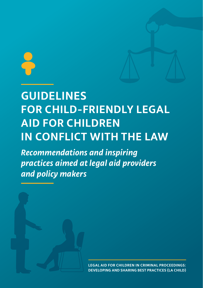## **GUIDELINES FOR CHILD-FRIENDLY LEGAL AID FOR CHILDREN IN CONFLICT WITH THE LAW**

*Recommendations and inspiring practices aimed at legal aid providers and policy makers*



**LEGAL AID FOR CHILDREN IN CRIMINAL PROCEEDINGS: DEVELOPING AND SHARING BEST PRACTICES (LA CHILD)**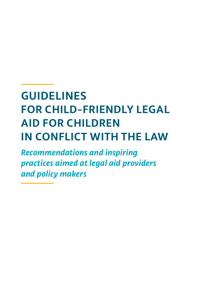## **GUIDELINES FOR CHILD-FRIENDLY LEGAL AID FOR CHILDREN IN CONFLICT WITH THE LAW**

*Recommendations and inspiring practices aimed at legal aid providers and policy makers*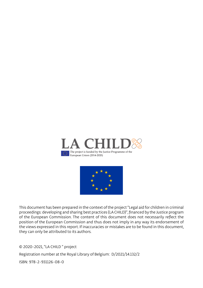



This document has been prepared in the context of the project "Legal aid for children in criminal proceedings: developing and sharing best practices (LA CHILD)", financed by the Justice program of the European Commission. The content of this document does not necessarily reflect the position of the European Commission and thus does not imply in any way its endorsement of the views expressed in this report. If inaccuracies or mistakes are to be found in this document, they can only be attributed to its authors.

© 2020-2021, "LA CHILD " project

Registration number at the Royal Library of Belgium: D/2021/14.132/2

ISBN: 978-2-931126-08-0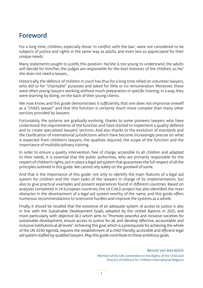### Foreword

For a long time, children, especially those 'in conflict with the law', were not considered to be subjects of justice and rights in the same way as adults, and even less so appreciated for their unique needs.

Many statements sought to justify this position: he/she is too young to understand, the adults will decide for him/her, the judges are responsible for the best interests of the children, so he/ she does not need a lawyer,...

Historically, the defence of children in court has thus for a long time relied on volunteer lawyers, who did so for "charitable" purposes and asked for little or no remuneration. Moreover, these were often young lawyers working without much preparation or specific training; in a way, they were learning by doing, on the back of their young clients.

We now know, and this guide demonstrates it sufficiently, that one does not improvise oneself as a "child's lawyer" and that this function is certainly much more complex than many other services provided by lawyers.

Fortunately, the systems are gradually evolving, thanks to some pioneers lawyers who have understood the requirements of the function and have started to implement a quality defence and to create specialised lawyers' sections. And also thanks to the evolution of standards and the clarification of international jurisdictions which have become increasingly precise on what is expected from children's lawyers, the qualities required, the scope of the function and the importance of multidisciplinary training.

In order to ensure a quality intervention, free of charge, accessible to all children and adapted to their needs, it is essential that the public authorities, who are primarily responsible for the respect of children's rights, put in place a legal aid system that guarantees the full respect of all the principles outlined in this guide. We cannot rely solely on the goodwill of some.

And that is the importance of this guide: not only to identify the main features of a legal aid system for children and the main tasks of the lawyers in charge of its implementation, but also to give practical examples and present experiences found in different countries. Based on analyses completed in 14 European countries, the LA CHILD project has also identified the main obstacles in the development of a legal aid system worthy of the name, and this guide offers numerous recommendations to overcome hurdles and improve the systems as a whole.

Finally, it should be recalled that the existence of an adequate system of access to justice is also in line with the Sustainable Development Goals, adopted by the United Nations in 2015, and more particularly with objective 16.3 which aims to "Promote peaceful and inclusive societies for sustainable development, ensure access to justice for all, and develop effective, accountable and inclusive institutions at all levels". Achieving this goal, which is a prerequisite for achieving the whole of the UN 2030 Agenda, requires the establishment of a child-friendly, accessible and efficient legal aid system staffed by qualified lawyers. May this guide contribute to these ambitious goals.

> Benoit Van Keirsbilck Member of the UN Committee on the Rights of the Child and Director of Defence for Children International Belgium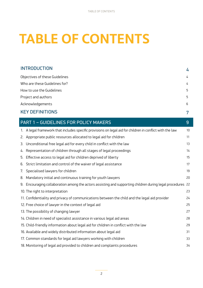# **TABLE OF CONTENTS**

| <b>INTRODUCTION</b>            | 4 |
|--------------------------------|---|
| Objectives of these Guidelines | 4 |
| Who are these Guidelines for?  | 4 |
| How to use the Guidelines      | 5 |
| Project and authors            | 5 |
| Acknowledgements               | 6 |
| <b>KEY DEFINITIONS</b>         | 7 |

|    | PART 1 - GUIDELINES FOR POLICY MAKERS                                                                      | 9  |
|----|------------------------------------------------------------------------------------------------------------|----|
|    | 1. A legal framework that includes specific provisions on legal aid for children in conflict with the law  | 10 |
|    | 2. Appropriate public resources allocated to legal aid for children                                        | 11 |
|    | 3. Unconditional free legal aid for every child in conflict with the law                                   | 13 |
|    | 4. Representation of children through all stages of legal proceedings                                      | 14 |
| 5. | Effective access to legal aid for children deprived of liberty                                             | 15 |
|    | 6. Strict limitation and control of the waiver of legal assistance                                         | 17 |
|    | 7. Specialised lawyers for children                                                                        | 19 |
|    | 8. Mandatory initial and continuous training for youth lawyers                                             | 20 |
|    | 9. Encouraging collaboration among the actors assisting and supporting children during legal procedures 22 |    |
|    | 10. The right to interpretation                                                                            | 23 |
|    | 11. Confidentiality and privacy of communications between the child and the legal aid provider             | 24 |
|    | 12. Free choice of lawyer in the context of legal aid                                                      | 25 |
|    | 13. The possibility of changing lawyer                                                                     | 27 |
|    | 14. Children in need of specialist assistance in various legal aid areas                                   | 28 |
|    | 15. Child-friendly information about legal aid for children in conflict with the law                       | 29 |
|    | 16. Available and widely distributed information about legal aid                                           | 31 |
|    | 17. Common standards for legal aid lawyers working with children                                           | 33 |
|    | 18. Monitoring of legal aid provided to children and complaints procedures                                 | 34 |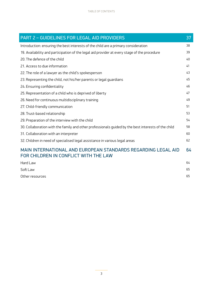| PART 2 - GUIDELINES FOR LEGAL AID PROVIDERS                                                            | 37 |
|--------------------------------------------------------------------------------------------------------|----|
| Introduction: ensuring the best interests of the child are a primary consideration                     | 38 |
| 19. Availability and participation of the legal aid provider at every stage of the procedure           | 39 |
| 20. The defence of the child                                                                           | 40 |
| 21. Access to due information                                                                          | 41 |
| 22. The role of a lawyer as the child's spokesperson                                                   | 43 |
| 23. Representing the child, not his/her parents or legal guardians                                     | 45 |
| 24. Ensuring confidentiality                                                                           | 46 |
| 25. Representation of a child who is deprived of liberty                                               | 47 |
| 26. Need for continuous multidisciplinary training                                                     | 49 |
| 27. Child-friendly communication                                                                       | 51 |
| 28. Trust-based relationship                                                                           | 53 |
| 29. Preparation of the interview with the child                                                        | 54 |
| 30. Collaboration with the family and other professionals quided by the best interests of the child    | 58 |
| 31. Collaboration with an interpreter                                                                  | 60 |
| 32. Children in need of specialised legal assistance in various legal areas                            | 62 |
| MAIN INTERNATIONAL AND EUROPEAN STANDARDS REGARDING LEGAL AID<br>FOR CHILDREN IN CONFLICT WITH THE LAW | 64 |
| Hard Law                                                                                               | 64 |
| Soft Law                                                                                               | 65 |
| Other resources                                                                                        | 65 |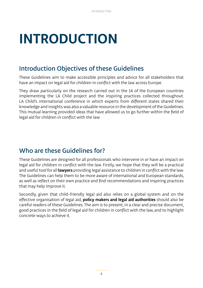# <span id="page-7-0"></span>**INTRODUCTION**

### Introduction Objectives of these Guidelines

These Guidelines aim to make accessible principles and advice for all stakeholders that have an impact on legal aid for children in conflict with the law across Europe.

They draw particularly on the research carried out in the 14 of the European countries implementing the LA Child project and the inspiring practices collected throughout. LA Child's international conference in which experts from different states shared their knowledge and insights was also a valuable resource in the development of the Guidelines. This mutual learning provided ideas that have allowed us to go further within the field of legal aid for children in conflict with the law.

### Who are these Guidelines for?

These Guidelines are designed for all professionals who intervene in or have an impact on legal aid for children in conflict with the law. Firstly, we hope that they will be a practical and useful tool for all **lawyers** providing legal assistance to children in conflict with the law. The Guidelines can help them to be more aware of international and European standards, as well as reflect on their own practice and find recommendations and inspiring practices that may help improve it.

Secondly, given that child-friendly legal aid also relies on a global system and on the effective organisation of legal aid, **policy makers and legal aid authorities** should also be careful readers of these Guidelines. The aim is to present, in a clear and precise document, good practices in the field of legal aid for children in conflict with the law, and to highlight concrete ways to achieve it.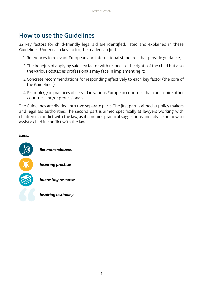## <span id="page-8-0"></span>How to use the Guidelines

32 key factors for child-friendly legal aid are identified, listed and explained in these Guidelines. Under each key factor, the reader can find:

- 1. References to relevant European and international standards that provide guidance;
- 2. The benefits of applying said key factor with respect to the rights of the child but also the various obstacles professionals may face in implementing it;
- 3. Concrete recommendations for responding effectively to each key factor (the core of the Guidelines);
- 4. Example(s) of practices observed in various European countries that can inspire other countries and/or professionals.

The Guidelines are divided into two separate parts. The first part is aimed at policy makers and legal aid authorities. The second part is aimed specifically at lawyers working with children in conflict with the law, as it contains practical suggestions and advice on how to assist a child in conflict with the law.

#### *Icons:*

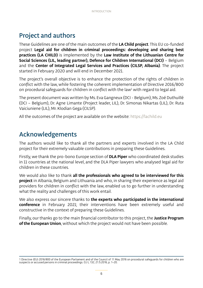## <span id="page-9-0"></span>Project and authors

These Guidelines are one of the main outcomes of the **LA Child project**. This EU co-funded project **Legal aid for children in criminal proceedings: developing and sharing best practices (LA CHILD)** is implemented by the **Law Institute of the Lithuanian Centre for Social Sciences (LIL, leading partner), Defence for Children International (DCI)** – Belgium and the **Center of Integrated Legal Services and Practices (CILSP, Albania)**. The project started in February 2020 and will end in December 2021.

The project's overall objective is to enhance the protection of the rights of children in conflict with the law, while fostering the coherent implementation of Directive 2016/800 on procedural safeguards for children in conflict with the law $^1$  with regard to legal aid.

The present document was written by Ms. Eva Gangneux (DCI - Belgium), Ms. Zoé Duthuillé (DCI – Belgium), Dr. Agne Limante (Project leader, LIL), Dr. Simonas Nikartas (LIL), Dr. Ruta Vaiciuniene (LIL), Mr. Klodian Gega (CILSP).

All the outcomes of the project are available on the website: https://lachild.eu

## Acknowledgements

The authors would like to thank all the partners and experts involved in the LA Child project for their extremely valuable contributions in preparing these Guidelines.

Firstly, we thank the pro-bono Europe section of **DLA Piper** who coordinated desk studies in 11 countries at the national level, and the DLA Piper lawyers who analysed legal aid for children in these countries.

We would also like to thank **all the professionals who agreed to be interviewed for this project** in Albania, Belgium and Lithuania and who, in sharing their experience as legal aid providers for children in conflict with the law, enabled us to go further in understanding what the reality and challenges of this work entail.

We also express our sincere thanks to **the experts who participated in the international conference** in February 2021; their interventions have been extremely useful and constructive in the context of preparing these Guidelines.

Finally, our thanks go to the main financial contributor to this project, the **Justice Program of the European Union**, without which the project would not have been possible.

<sup>1</sup> Directive (EU) 2016/800 of the European Parliament and of the Council of 11 May 2016 on procedural safeguards for children who are suspects or accused persons in criminal proceedings. OJ L 132, 21.5.2016, p. 1–20.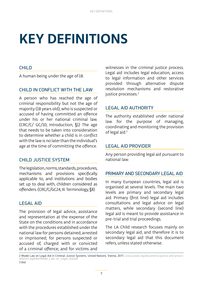# <span id="page-10-0"></span>**KEY DEFINITIONS**

#### CHILD

A human being under the age of 18.

#### CHILD IN CONFLICT WITH THE LAW

A person who has reached the age of criminal responsibility but not the age of majority (18 years old), who is suspected or accused of having committed an offence under his or her national criminal law. (CRC/C/ GC/10, Introduction, §1) The age that needs to be taken into consideration to determine whether a child is in conflict with the law is no later than the individual's age at the time of committing the offence.

#### CHILD JUSTICE SYSTEM

The legislation, norms, standards, procedures, mechanisms and provisions specifically applicable to, and institutions and bodies set up to deal with, children considered as offenders. (CRC/C/GC24, III. Terminology, §8)

#### LEGAL AID

The provision of legal advice, assistance and representation at the expense of the State on the conditions and in accordance with the procedures established under the national law for persons detained, arrested or imprisoned; for persons suspected or accused of, charged with or convicted of a criminal offence; and for victims and

witnesses in the criminal justice process. Legal aid includes legal education, access to legal information and other services provided through alternative dispute resolution mechanisms and restorative justice processes.<sup>2</sup>

#### LEGAL AID AUTHORITY

The authority established under national law for the purpose of managing, coordinating and monitoring the provision of legal aid.<sup>3</sup>

#### LEGAL AID PROVIDER

Any person providing legal aid pursuant to national law.

#### PRIMARY AND SECONDARY LEGAL AID

In many European countries, legal aid is organised at several levels. The main two levels are primary and secondary legal aid. Primary (first line) legal aid includes consultations and legal advice on legal matters, while secondary (second line) legal aid is meant to provide assistance in pre-trial and trial proceedings.

The LA Child research focuses mainly on secondary legal aid, and therefore it is to secondary legal aid that this document refers, unless stated otherwise.

2 Model Law on Legal Aid in Criminal Justice Systems. United Nations. Vienna, 2017.: www.unodc.org/documents/justice-and-prisonreform/LegalAid/Model\_Law\_on\_Legal\_Aid.pdf 3 *Ibid*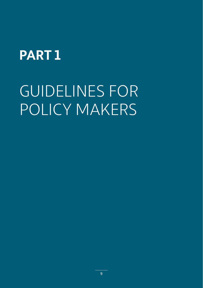## <span id="page-12-0"></span>**PART 1**

# GUIDELINES FOR POLICY MAKERS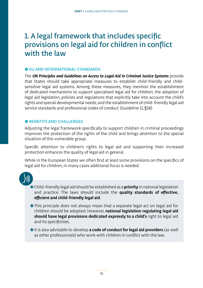## <span id="page-13-0"></span>1. A legal framework that includes specific provisions on legal aid for children in conflict with the law

#### **O EU AND INTERNATIONAL STANDARDS**

The *UN Principles and Guidelines on Access to Legal Aid in Criminal Justice Systems* provide that States should take appropriate measures to establish child-friendly and childsensitive legal aid systems. Among these measures, they mention the establishment of dedicated mechanisms to support specialised legal aid for children; the adoption of legal aid legislation, policies and regulations that explicitly take into account the child's rights and special developmental needs; and the establishment of child-friendly legal aid service standards and professional codes of conduct. (Guideline 11, §58).

#### **O BENEFITS AND CHALLENGES**

Adjusting the legal framework specifically to support children in criminal proceedings improves the protection of the rights of the child and brings attention to the special situation of this vulnerable group.

Specific attention to children's rights to legal aid and supporting their increased protection enhances the quality of legal aid in general.

While in the European States we often find at least some provisions on the specifics of legal aid for children, in many cases additional focus is needed.

- ʺChild-friendly legal aid should be established as a **priority** in national legislation and practice. The laws should include the **quality standards of effective, efficient and child-friendly legal aid**.
- This principle does not always mean that a separate legal act on legal aid for children should be adopted. However, **national legislation regulating legal aid should have legal provisions dedicated expressly to a child's** right to legal aid and its specificities.
- $\bullet$  It is also advisable to develop **a code of conduct for legal aid providers** (as well as other professionals) who work with children in conflict with the law.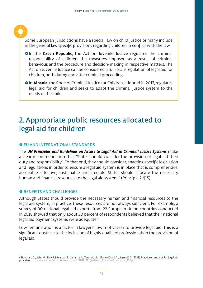<span id="page-14-0"></span>

Some European jurisdictions have a special law on child justice or many include in the general law specific provisions regarding children in conflict with the law.

- **In the Czech Republic**, the Act on Juvenile Justice regulates the criminal responsibility of children, the measures imposed as a result of criminal behaviour, and the procedure and decision-making in respective matters. The Act on Juvenile Justice can be considered a full-scale regulation of legal aid for children, both during and after criminal proceedings.
- **In Albania**, the Code of Criminal Justice for Children, adopted in 2017, regulates legal aid for children and seeks to adapt the criminal justice system to the needs of the child.

## 2. Appropriate public resources allocated to legal aid for children

#### $\bullet$  **EU AND INTERNATIONAL STANDARDS**

The *UN Principles and Guidelines on Access to Legal Aid in Criminal Justice Systems* make a clear recommendation that "States should consider the provision of legal aid their duty and responsibility". To that end, they should consider, enacting specific legislation and regulations in order to ensure a legal aid system is in place that is comprehensive, accessible, effective, sustainable and credible. States should allocate the necessary human and financial resources to the legal aid system." (Principle 2, §15)

#### **O BENEFITS AND CHALLENGES**

Although States should provide the necessary human and financial resources to the legal aid system, in practice, these resources are not always sufficient. For example, a survey of 90 national legal aid experts from 22 European Union countries conducted in 2018 showed that only about 30 percent of respondents believed that their national legal aid payment systems were adequate.4

Low remuneration is a factor in lawyers' low motivation to provide legal aid. This is a significant obstacle to the inclusion of highly qualified professionals in the provision of legal aid.

<sup>4</sup> Burchard C., Jahn M., Zink S. Nikartas S., Limantė A., Totoraitis L., Banevičienė A., Jarmalė D. (2018) Practice standards for legal aid providers: https://teise.org/wp-content/uploads/2019/09/Qual-Aid\_Practice-Standards\_EN.pdf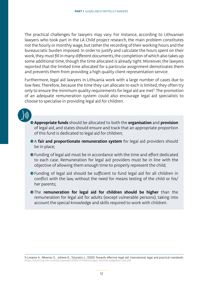The practical challenges for lawyers may vary. For instance, according to Lithuanian lawyers who took part in the LA Child project research, the main problem constitutes not the hourly or monthly wage, but rather the recording of their working hours and the bureaucratic burden imposed. In order to justify and calculate the hours spent on their work, they must fill in many different documents, the completion of which also takes up some additional time, though the time allocated is already tight. Moreover, the lawyers reported that the limited time allocated for a particular assignment demotivates them and prevents them from providing a high quality client representation service.

Furthermore, legal aid lawyers in Lithuania work with a large number of cases due to low fees. Therefore, because the time they can allocate to each is limited, they often try only to ensure the minimum quality requirements for legal aid are met<sup>5</sup>. The promotion of an adequate remuneration system could also encourage legal aid specialists to choose to specialise in providing legal aid for children.

- - ʺ**Appropriate funds** should be allocated to both the **organisation** and **provision** of legal aid, and states should ensure and track that an appropriate proportion of this fund is dedicated to legal aid for children;
	- **A fair and proportionate remuneration system** for legal aid providers should be in place;
	- Funding of legal aid must be in accordance with the time and effort dedicated to each case. Remuneration for legal aid providers must be in line with the objective of allowing them enough time to properly represent the child;
	- Funding of legal aid should be sufficient to fund legal aid for all children in conflict with the law, without the need for means testing of the child or his/ her parents;
	- **•**The remuneration for legal aid for children should be higher than the remuneration for legal aid for adults (except vulnerable persons), taking into account the special knowledge and skills required to work with children.

<sup>5</sup> Limante A., Nikartas S., Jočienė D., Totoraitis L. (2020) Towards effective legal aid: international legal and practical standards: https://teise.org/wp-content/uploads/2020/10/Veiksmingos-teisines-pagalbos-link.pdf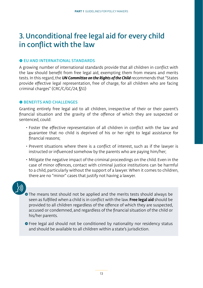## <span id="page-16-0"></span>3. Unconditional free legal aid for every child in conflict with the law

#### **O EU AND INTERNATIONAL STANDARDS**

A growing number of international standards provide that all children in conflict with the law should benefit from free legal aid, exempting them from means and merits tests. In this regard, the *UN Committee on the Rights of the Child* recommends that "States provide effective legal representation, free of charge, for all children who are facing criminal charges" (CRC/C/GC/24, §51)

#### $\bullet$  **BENEFITS AND CHALLENGES**

Granting entirely free legal aid to all children, irrespective of their or their parent's financial situation and the gravity of the offence of which they are suspected or sentenced, could:

- Foster the effective representation of all children in conflict with the law and guarantee that no child is deprived of his or her right to legal assistance for financial reasons;
- Prevent situations where there is a conflict of interest, such as if the lawyer is instructed or influenced somehow by the parents who are paying him/her;
- Mitigate the negative impact of the criminal proceedings on the child. Even in the case of minor offences, contact with criminal justice institutions can be harmful to a child, particularly without the support of a lawyer. When it comes to children, there are no "minor" cases that justify not having a lawyer.



The means test should not be applied and the merits tests should always be seen as fulfilled when a child is in conflict with the law. **Free legal aid** should be provided to all children regardless of the offence of which they are suspected, accused or condemned, and regardless of the financial situation of the child or his/her parents.

● Free legal aid should not be conditioned by nationality nor residency status and should be available to all children within a state's jurisdiction.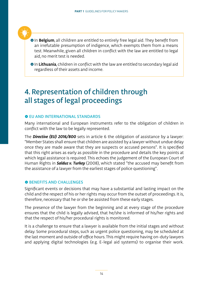<span id="page-17-0"></span>

**In Belgium**, all children are entitled to entirely free legal aid. They benefit from an irrefutable presumption of indigence, which exempts them from a means test. Meanwhile, given all children in conflict with the law are entitled to legal aid, no merit test is needed.

**In Lithuania**, children in conflict with the law are entitled to secondary legal aid regardless of their assets and income.

## 4. Representation of children through all stages of legal proceedings

#### **O EU AND INTERNATIONAL STANDARDS**

Many international and European instruments refer to the obligation of children in conflict with the law to be legally represented.

The *Directive (EU) 2016/800* sets in article 6 the obligation of assistance by a lawyer: "Member States shall ensure that children are assisted by a lawyer without undue delay once they are made aware that they are suspects or accused persons". It is specified that this right arises as early as possible in the procedure and details the key points at which legal assistance is required. This echoes the judgement of the European Court of Human Rights in *Salduz v. Turkey* (2008), which stated "the accused may benefit from the assistance of a lawyer from the earliest stages of police questioning".

#### $\bullet$  **BENEFITS AND CHALLENGES**

Significant events or decisions that may have a substantial and lasting impact on the child and the respect of his or her rights may occur from the outset of proceedings. It is, therefore, necessary that he or she be assisted from these early stages.

The presence of the lawyer from the beginning and at every stage of the procedure ensures that the child is legally advised, that he/she is informed of his/her rights and that the respect of his/her procedural rights is monitored.

It is a challenge to ensure that a lawyer is available from the initial stages and without delay. Some procedural steps, such as urgent police questioning, may be scheduled at the last moment and outside of office hours. This might require having on-duty lawyers and applying digital technologies (e.g. E-legal aid systems) to organise their work.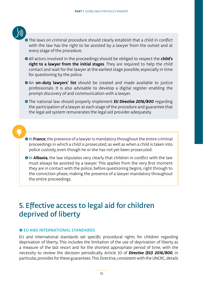<span id="page-18-0"></span>

- ʺThe laws on criminal procedure should clearly establish that a child in conflict with the law has the right to be assisted by a lawyer from the outset and at every stage of the procedure.
- All actors involved in the proceedings should be obliged to respect the **child's right to a lawyer from the initial stages**. They are required to help the child contact and wait for the lawyer at the earliest stage possible, especially in time for questioning by the police.
- **An on-duty lawyers' list** should be created and made available to justice professionals. It is also advisable to develop a digital register enabling the prompt discovery of and communication with a lawyer.
- **•** The national law should properly implement **EU Directive 2016/800** regarding the participation of a lawyer at each stage of the procedure and guarantee that the legal aid system remunerates the legal aid provider adequately.



- **In France**, the presence of a lawyer is mandatory throughout the entire criminal proceedings in which a child is prosecuted, as well as when a child is taken into police custody, even though he or she has not yet been prosecuted.
- **In Albania**, the law stipulates very clearly that children in conflict with the law must always be assisted by a lawyer. This applies from the very first moment they are in contact with the police, before questioning begins, right through to the conviction phase, making the presence of a lawyer mandatory throughout the entire proceedings.

## 5. Effective access to legal aid for children deprived of liberty

#### $\bullet$  **EU AND INTERNATIONAL STANDARDS**

EU and international standards set specific procedural rights for children regarding deprivation of liberty. This includes the limitation of the use of deprivation of liberty as a measure of the last resort and for the shortest appropriate period of time, with the necessity to review the decision periodically. Article 10 of *Directive (EU) 2016/800*, in particular, provides for these guarantees. This Directive, consistent with the UNCRC, details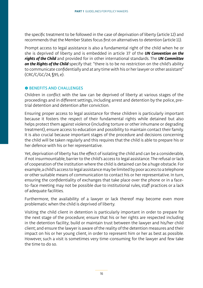the specific treatment to be followed in the case of deprivation of liberty (article 12) and recommends that the Member States focus first on alternatives to detention (article 11).

Prompt access to legal assistance is also a fundamental right of the child when he or she is deprived of liberty and is embedded in article 37 of the *UN Convention on the rights of the Child* and provided for in other international standards. The *UN Committee on the Rights of the Child* specify that: "there is to be no restriction on the child's ability to communicate confidentially and at any time with his or her lawyer or other assistant" (CRC/C/GC/24, §95, e).

#### **O BENEFITS AND CHALLENGES**

Children in conflict with the law can be deprived of liberty at various stages of the proceedings and in different settings, including arrest and detention by the police, pretrial detention and detention after conviction.

Ensuring proper access to legal assistance for these children is particularly important because it fosters the respect of their fundamental rights while detained but also helps protect them against violence (including torture or other inhumane or degrading treatment), ensure access to education and possibility to maintain contact their family. It is also crucial because important stages of the procedure and decisions concerning the child will be taken regularly and this requires that the child is able to prepare his or her defence with his or her representative.

Yet, deprivation of liberty has the effect of isolating the child and can be a considerable, if not insurmountable, barrier to the child's access to legal assistance. The refusal or lack of cooperation of the institution where the child is detained can be a huge obstacle. For example, a child's access to legal assistance may be limited by poor access to a telephone or other suitable means of communication to contact his or her representative. In turn, ensuring the confidentiality of exchanges that take place over the phone or in a faceto-face meeting may not be possible due to institutional rules, staff practices or a lack of adequate facilities.

Furthermore, the availability of a lawyer or lack thereof may become even more problematic when the child is deprived of liberty.

Visiting the child client in detention is particularly important in order to prepare for the next stage of the procedure; ensure that his or her rights are respected including in the detention facility; build or maintain trust between the lawyer and his/her child client; and ensure the lawyer is aware of the reality of the detention measures and their impact on his or her young client, in order to represent him or her as best as possible. However, such a visit is sometimes very time-consuming for the lawyer and few take the time to do so.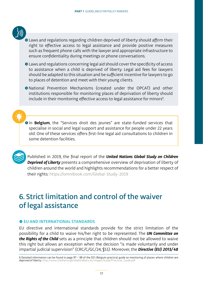<span id="page-20-0"></span>

- ʺLaws and regulations regarding children deprived of liberty should affirm their right to effective access to legal assistance and provide positive measures such as frequent phone calls with the lawyer and appropriate infrastructure to ensure confidentiality during meetings or phone conversations.
- ʺLaws and regulations concerning legal aid should cover the specificity of access to assistance when a child is deprived of liberty. Legal aid fees for lawyers should be adapted to this situation and be sufficient incentive for lawyers to go to places of detention and meet with their young clients.
- ʺNational Prevention Mechanisms (created under the OPCAT) and other institutions responsible for monitoring places of deprivation of liberty should include in their monitoring effective access to legal assistance for minors<sup>6</sup>.

**In Belgium**, the "Services droit des jeunes" are state-funded services that specialise in social and legal support and assistance for people under 22 years old. One of these services offers first-line legal aid consultations to children in some detention facilities.



Published in 2019, the final report of the *United Nations Global Study on Children Deprived of Liberty* presents a comprehensive overview of deprivation of liberty of children around the world and highlights recommendations for a better respect of their rights: https://omnibook.com/Global-Study-2019

## 6. Strict limitation and control of the waiver of legal assistance

#### $\bullet$  **EU AND INTERNATIONAL STANDARDS**

EU directive and international standards provide for the strict limitation of the possibility for a child to waive his/her right to be represented. The *UN Committee on the Rights of the Child* sets as a principle that children should not be allowed to waive this right but allows an exception when the decision "is made voluntarily and under impartial judicial supervision" (CRC/C/GC/24, §51). Moreover, the *Directive (EU) 2013/48*

<sup>6</sup> Detailed information can be found in page 97 – 98 of the DCI-Belgium practical guide on monitoring of places where children are deprived of liberty: http://www.childrensrightsbehindbars.eu/images/Guide/Practical\_Guide.pdf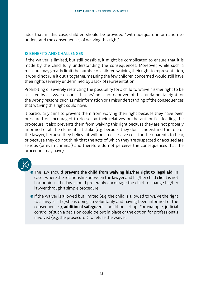adds that, in this case, children should be provided "with adequate information to understand the consequences of waiving this right".

#### **O BENEFITS AND CHALLENGES**

If the waiver is limited, but still possible, it might be complicated to ensure that it is made by the child fully understanding the consequences. Moreover, while such a measure may greatly limit the number of children waiving their right to representation, it would not rule it out altogether, meaning the few children concerned would still have their rights severely undermined by a lack of representation.

Prohibiting or severely restricting the possibility for a child to waive his/her right to be assisted by a lawyer ensures that he/she is not deprived of this fundamental right for the wrong reasons, such as misinformation or a misunderstanding of the consequences that waiving this right could have.

It particularly aims to prevent them from waiving their right because they have been pressured or encouraged to do so by their relatives or the authorities leading the procedure. It also prevents them from waiving this right because they are not properly informed of all the elements at stake (e.g. because they don't understand the role of the lawyer, because they believe it will be an excessive cost for their parents to bear, or because they do not think that the acts of which they are suspected or accused are serious (or even criminal) and therefore do not perceive the consequences that the procedure may have).

- **•** The law should prevent the child from waiving his/her right to legal aid. In cases where the relationship between the lawyer and his/her child client is not harmonious, the law should preferably encourage the child to change his/her lawyer through a simple procedure.
- **O** If the waiver is allowed but limited (e.g. the child is allowed to waive the right to a lawyer if he/she is doing so voluntarily and having been informed of the consequences), **additional safeguards** should be set up. For example, judicial control of such a decision could be put in place or the option for professionals involved (e.g. the prosecutor) to refuse the waiver.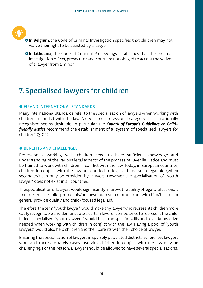<span id="page-22-0"></span>

**• In Belgium**, the Code of Criminal Investigation specifies that children may not waive their right to be assisted by a lawyer.

**• In Lithuania**, the Code of Criminal Proceedings establishes that the pre-trial investigation officer, prosecutor and court are not obliged to accept the waiver of a lawyer from a minor.

## 7. Specialised lawyers for children

#### $\bullet$  **FU AND INTERNATIONAL STANDARDS**

Many international standards refer to the specialisation of lawyers when working with children in conflict with the law. A dedicated professional category that is nationally recognised seems desirable. In particular, the *Council of Europe's Guidelines on Childfriendly Justice* recommend the establishment of a "system of specialised lawyers for children" (§104).

#### **O BENEFITS AND CHALLENGES**

Professionals working with children need to have sufficient knowledge and understanding of the various legal aspects of the process of juvenile justice and must be trained to work with children in conflict with the law. Today, in European countries, children in conflict with the law are entitled to legal aid and such legal aid (when secondary) can only be provided by lawyers. However, the specialisation of "youth lawyer" does not exist in all countries.

The specialisation of lawyers would significantly improve the ability of legal professionals to represent the child, protect his/her best interests, communicate with him/her and in general provide quality and child-focused legal aid.

Therefore, the term "youth lawyer" would make any lawyer who represents children more easily recognisable and demonstrate a certain level of competence to represent the child. Indeed, specialised "youth lawyers" would have the specific skills and legal knowledge needed when working with children in conflict with the law. Having a pool of "youth lawyers" would also help children and their parents with their choice of lawyer.

Ensuring the specialisation of lawyers in sparsely populated districts, where few lawyers work and there are rarely cases involving children in conflict with the law may be challenging. For this reason, a lawyer should be allowed to have several specialisations.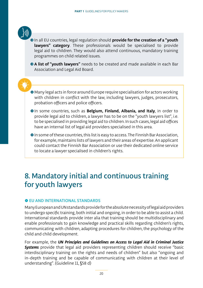<span id="page-23-0"></span>

**•** In all EU countries, legal regulation should **provide for the creation of a "youth lawyers" category**. These professionals would be specialised to provide legal aid to children. They would also attend continuous, mandatory training programmes on child related issues.

**A list of "youth lawyers"** needs to be created and made available in each Bar Association and Legal Aid Board.

ˌMany legal acts in force around Europe require specialisation for actors working with children in conflict with the law, including lawyers, judges, prosecutors, probation officers and police officers.

- **In some countries, such as Belgium, Finland, Albania, and Italy**, in order to provide legal aid to children, a lawyer has to be on the "youth lawyers list", i.e. to be specialised in providing legal aid to children. In such cases, legal aid offices have an internal list of legal aid providers specialised in this area.
- **O** In some of these countries, this list is easy to access. The Finnish Bar Association, for example, maintains lists of lawyers and their areas of expertise. An applicant could contact the Finnish Bar Association or use their dedicated online service to locate a lawyer specialised in children's rights.

## 8. Mandatory initial and continuous training for youth lawyers

#### $\bullet$  **EU AND INTERNATIONAL STANDARDS**

Many European and UN standards provide for the absolute necessity of legal aid providers to undergo specific training, both initial and ongoing, in order to be able to assist a child. International standards provide inter alia that training should be multidisciplinary and enable professionals to gain knowledge and practical skills regarding children's rights, communicating with children, adapting procedures for children, the psychology of the child and child development.

For example, the *UN Principles and Guidelines on Access to Legal Aid in Criminal Justice*  **Systems** provide that legal aid providers representing children should receive "basic interdisciplinary training on the rights and needs of children" but also "ongoing and in-depth training and be capable of communicating with children at their level of understanding". (Guideline 11, §58 d)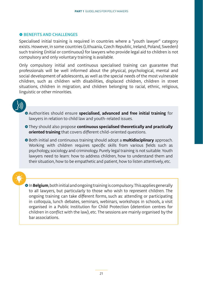#### **O BENEFITS AND CHALLENGES**

Specialised initial training is required in countries where a "youth lawyer" category exists. However, in some countries (Lithuania, Czech Republic, Ireland, Poland, Sweden) such training (initial or continuous) for lawyers who provide legal aid to children is not compulsory and only voluntary training is available.

Only compulsory initial and continuous specialised training can guarantee that professionals will be well informed about the physical, psychological, mental and social development of adolescents, as well as the special needs of the most vulnerable children, such as children with disabilities, displaced children, children in street situations, children in migration, and children belonging to racial, ethnic, religious, linguistic or other minorities.



ʺAuthorities should ensure **specialised, advanced and free initial training** for lawyers in relation to child law and youth-related issues.

- ʺThey should also propose **continuous specialised theoretically and practically oriented training** that covers different child-oriented questions.
- ʺBoth initial and continuous training should adopt a **multidisciplinary** approach. Working with children requires specific skills from various fields such as psychology, sociology and criminology. Purely legal training is not suitable. Youth lawyers need to learn: how to address children, how to understand them and their situation, how to be empathetic and patient, how to listen attentively, etc.

**In Belgium**, both initial and ongoing training is compulsory. This applies generally to all lawyers, but particularly to those who wish to represent children. The ongoing training can take different forms, such as: attending or participating in colloquia, lunch debates, seminars, webinars, workshops in schools, a visit organised in a Public Institution for Child Protection (detention centres for children in conflict with the law), etc. The sessions are mainly organised by the bar associations.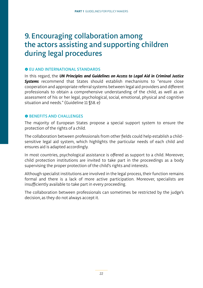## <span id="page-25-0"></span>9. Encouraging collaboration among the actors assisting and supporting children during legal procedures

#### **O EU AND INTERNATIONAL STANDARDS**

In this regard, the *UN Principles and Guidelines on Access to Legal Aid in Criminal Justice Systems* recommend that States should establish mechanisms to "ensure close cooperation and appropriate referral systems between legal aid providers and different professionals to obtain a comprehensive understanding of the child, as well as an assessment of his or her legal, psychological, social, emotional, physical and cognitive situation and needs." (Guideline 11 §58. e)

#### **O BENEFITS AND CHALLENGES**

The majority of European States propose a special support system to ensure the protection of the rights of a child.

The collaboration between professionals from other fields could help establish a childsensitive legal aid system, which highlights the particular needs of each child and ensures aid is adapted accordingly.

In most countries, psychological assistance is offered as support to a child. Moreover, child protection institutions are invited to take part in the proceedings as a body supervising the proper protection of the child's rights and interests.

Although specialist institutions are involved in the legal process, their function remains formal and there is a lack of more active participation. Moreover, specialists are insufficiently available to take part in every proceeding.

The collaboration between professionals can sometimes be restricted by the judge's decision, as they do not always accept it.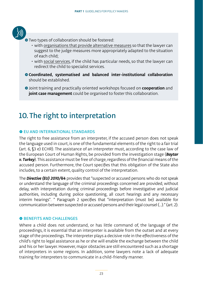<span id="page-26-0"></span>

● Two types of collaboration should be fostered:

- with organisations that provide alternative measures so that the lawyer can suggest to the judge measures more appropriately adapted to the situation of each child;
- with social services, if the child has particular needs, so that the lawyer can redirect the child to specialist services.
- ʺ**Coordinated, systematised and balanced inter-institutional collaboration**  should be established.
- ʺJoint training and practically oriented workshops focused on **cooperation** and **joint case management** could be organised to foster this collaboration.

## 10. The right to interpretation

#### **O FU AND INTERNATIONAL STANDARDS**

The right to free assistance from an interpreter, if the accused person does not speak the language used in court, is one of the fundamental elements of the right to a fair trial (art. 6, §3 e) ECHR). The assistance of an interpreter must, according to the case law of the European Court of Human Rights, be provided from the investigation stage (*Baytar v. Turkey*). This assistance must be free of charge, regardless of the financial means of the accused person. Furthermore, the Court specifies that this obligation of the State also includes, to a certain extent, quality control of the interpretation.

The *Directive (EU) 2010/64* provides that "suspected or accused persons who do not speak or understand the language of the criminal proceedings concerned are provided, without delay, with interpretation during criminal proceedings before investigative and judicial authorities, including during police questioning, all court hearings and any necessary interim hearings". " Paragraph 2 specifies that "interpretation (must be) available for communication between suspected or accused persons and their legal counsel (…)." (art. 2).

#### $\bullet$  **BENEFITS AND CHALLENGES**

Where a child does not understand, or has little command of, the language of the proceedings, it is essential that an interpreter is available from the outset and at every stage of the proceedings. The interpreter plays a decisive role in the effectiveness of the child's right to legal assistance as he or she will enable the exchange between the child and his or her lawyer. However, major obstacles are still encountered such as a shortage of interpreters in some regions. In addition, some lawyers note a lack of adequate training for interpreters to communicate in a child-friendly manner.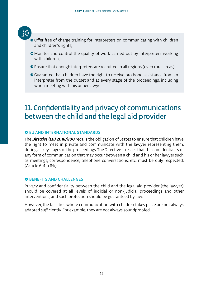<span id="page-27-0"></span>

- ʺOffer free of charge training for interpreters on communicating with children and children's rights;
- ʺMonitor and control the quality of work carried out by interpreters working with children;
- Ensure that enough interpreters are recruited in all regions (even rural areas);
- **•**Guarantee that children have the right to receive pro bono assistance from an interpreter from the outset and at every stage of the proceedings, including when meeting with his or her lawyer.

## 11. Confidentiality and privacy of communications between the child and the legal aid provider

#### **O FU AND INTERNATIONAL STANDARDS**

The *Directive (EU) 2016/800* recalls the obligation of States to ensure that children have the right to meet in private and communicate with the lawyer representing them, during all key stages of the proceedings. The Directive stresses that the confidentiality of any form of communication that may occur between a child and his or her lawyer such as meetings, correspondence, telephone conversations, etc. must be duly respected. (Article 6. 4. a &b)

#### $\bullet$  **BENEFITS AND CHALLENGES**

Privacy and confidentiality between the child and the legal aid provider (the lawyer) should be covered at all levels of judicial or non-judicial proceedings and other interventions, and such protection should be guaranteed by law.

However, the facilities where communication with children takes place are not always adapted sufficiently. For example, they are not always soundproofed.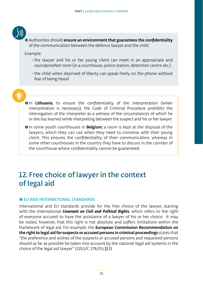<span id="page-28-0"></span>

ʺAuthorities should **ensure an environment that guarantees the confidentiality** of the communication between the defence lawyer and the child

Example:

- the lawyer and his or her young client can meet in an appropriate and soundproofed room (in a courthouse, police station, detention centre etc.)
- the child when deprived of liberty can speak freely on the phone without fear of being heard

- **O**In Lithuania, to ensure the confidentiality of the interpretation (when interpretation is necessary), the Code of Criminal Procedure prohibits the interrogation of the interpreter as a witness of the circumstances of which he or she has learned while interpreting between the suspect and his or her lawyer.
- **In some youth courthouses in <b>Belgium**, a room is kept at the disposal of the lawyers, which they can use when they need to converse with their young client. This ensures the confidentiality of their communication, whereas in some other courthouses in the country they have to discuss in the corridor of the courthouse where confidentiality cannot be guaranteed.

## 12. Free choice of lawyer in the context of legal aid

#### $\bullet$  **FU AND INTERNATIONAL STANDARDS**

International and EU standards provide for the free choice of the lawyer, starting with the International *Covenant on Civil and Political Rights*, which refers to the right of everyone accused to have the assistance of a lawyer of his or her choice. It may be noted, however, that this right is not absolute and suffers limitations within the framework of legal aid. For example, the **European Commission Recommendation on the right to legal aid for suspects or accused persons in criminal proceedings** states that "the preference and wishes of the suspects or accused persons and requested persons should as far as possible be taken into account by the national legal aid systems in the choice of the legal aid lawyer" (2013/C 378/03, §13).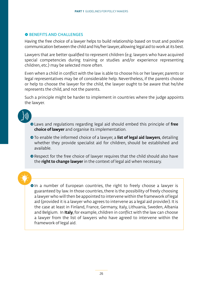#### **O BENEFITS AND CHALLENGES**

Having the free choice of a lawyer helps to build relationship based on trust and positive communication between the child and his/her lawyer, allowing legal aid to work at its best.

Lawyers that are better qualified to represent children (e.g. lawyers who have acquired special competencies during training or studies and/or experience representing children, etc.) may be selected more often.

Even when a child in conflict with the law is able to choose his or her lawyer, parents or legal representatives may be of considerable help. Nevertheless, if the parents choose or help to choose the lawyer for the child, the lawyer ought to be aware that he/she represents the child, and not the parents.

Such a principle might be harder to implement in countries where the judge appoints the lawyer.

- ʺLaws and regulations regarding legal aid should embed this principle of **free choice of lawyer** and organise its implementation.
- ʺTo enable the informed choice of a lawyer, a **list of legal aid lawyers**, detailing whether they provide specialist aid for children, should be established and available.
- Respect for the free choice of lawyer requires that the child should also have the **right to change lawyer** in the context of legal aid when necessary.

**OIn a number of European countries, the right to freely choose a lawyer is** guaranteed by law. In those countries, there is the possibility of freely choosing a lawyer who will then be appointed to intervene within the framework of legal aid (provided it is a lawyer who agrees to intervene as a legal aid provider). It is the case at least in Finland, France, Germany, Italy, Lithuania, Sweden, Albania and Belgium. In **Italy**, for example, children in conflict with the law can choose a lawyer from the list of lawyers who have agreed to intervene within the framework of legal aid.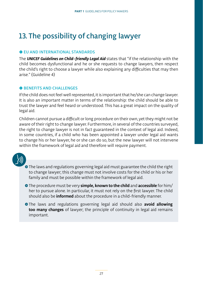## <span id="page-30-0"></span>13. The possibility of changing lawyer

#### **O EU AND INTERNATIONAL STANDARDS**

The *UNICEF Guidelines on Child-friendly Legal Aid* states that "if the relationship with the child becomes dysfunctional and he or she requests to change lawyers, then respect the child's right to choose a lawyer while also explaining any difficulties that may then arise." (Guideline 4)

#### **O BENEFITS AND CHALLENGES**

If the child does not feel well represented, it is important that he/she can change lawyer. It is also an important matter in terms of the relationship: the child should be able to trust the lawyer and feel heard or understood. This has a great impact on the quality of legal aid.

Children cannot pursue a difficult or long procedure on their own, yet they might not be aware of their right to change lawyer. Furthermore, in several of the countries surveyed, the right to change lawyer is not in fact guaranteed in the context of legal aid. Indeed, in some countries, if a child who has been appointed a lawyer under legal aid wants to change his or her lawyer, he or she can do so, but the new lawyer will not intervene within the framework of legal aid and therefore will require payment.



 $\hat{\bullet}$  The laws and regulations governing legal aid must guarantee the child the right to change lawyer; this change must not involve costs for the child or his or her family and must be possible within the framework of legal aid.

ʺThe procedure must be very **simple, known to the child** and **accessible** for him/ her to pursue alone. In particular, it must not rely on the first lawyer. The child should also be **informed** about the procedure in a child-friendly manner.

ʺThe laws and regulations governing legal aid should also **avoid allowing too many changes** of lawyer; the principle of continuity in legal aid remains important.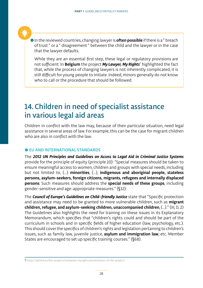<span id="page-31-0"></span>

**•** In the reviewed countries, changing lawyer is **often possible** if there is a " breach of trust " or a " disagreement " between the child and the lawyer or in the case that the lawyer defaults.

While they are an essential first step, these legal or regulatory provisions are not sufficient. In **Belgium** the project *My Lawyer, My Rights*<sup>7</sup> highlighted the fact that, while the process of changing lawyers is not inherently complicated, it is still difficult for young people to initiate. Indeed, minors generally do not know who to call or the procedure that should be followed.

## 14. Children in need of specialist assistance in various legal aid areas

Children in conflict with the law may, because of their particular situation, need legal assistance in several areas of law. For example, this can be the case for migrant children who are also in conflict with the law.

#### $\bullet$  **FU AND INTERNATIONAL STANDARDS**

The *2012 UN Principles and Guidelines on Access to Legal Aid in Criminal Justice Systems*  provide for the principle of equity (principle 10): "Special measures should be taken to ensure meaningful access to women, children and groups with special needs, including but not limited to, (…) **minorities**, (…), **indigenous and aboriginal people, stateless persons, asylum-seekers, foreign citizens, migrants, refugees and internally displaced persons**. Such measures should address the **special needs of these groups**, including gender-sensitive and age-appropriate measures." (§32).

The *Council of Europe's Guidelines on Child-friendly Justice* state that "Specific protection and assistance may need to be granted to more vulnerable children, such as **migrant children, refugee, and asylum-seeking children, unaccompanied children**, (…)." (III, D, 2) The Guidelines also highlights the need for training on these issues in its Explanatory Memorandum, which specifies that "children's rights could and should be part of the curriculum in schools and in specific fields of higher education (law, psychology, etc.). This should cover the specifics of children's rights and legislation pertaining to children's issues, such as family law, juvenile justice, **asylum and immigration law**, etc. Member States are encouraged to set up specific training courses." (§68).

<sup>7</sup> https://lachild.eu/the-projects/mylawyer-myrights/presentation-of-the-project/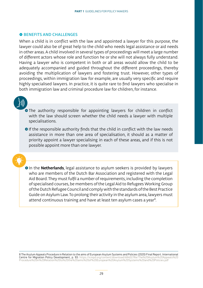#### <span id="page-32-0"></span>**O BENEFITS AND CHALLENGES**

When a child is in conflict with the law and appointed a lawyer for this purpose, the lawyer could also be of great help to the child who needs legal assistance or aid needs in other areas. A child involved in several types of proceedings will meet a large number of different actors whose role and function he or she will not always fully understand. Having a lawyer who is competent in both or all areas would allow the child to be adequately accompanied and guided throughout the different proceedings, thereby avoiding the multiplication of lawyers and fostering trust. However, other types of proceedings, within immigration law for example, are usually very specific and require highly specialised lawyers. In practice, it is quite rare to find lawyers who specialise in both immigration law and criminal procedure law for children, for instance.



**•**The authority responsible for appointing lawyers for children in conflict with the law should screen whether the child needs a lawyer with multiple specialisations.

**O** If the responsible authority finds that the child in conflict with the law needs assistance in more than one area of specialisation, it should as a matter of priority appoint a lawyer specialising in each of these areas, and if this is not possible appoint more than one lawyer.



**•** In the **Netherlands**, legal assistance to asylum seekers is provided by lawyers who are members of the Dutch Bar Association and registered with the Legal Aid Board. They must fulfil a number of requirements, including the completion of specialised courses, be members of the Legal Aid to Refugees Working Group of the Dutch Refugee Council and comply with the standards of the Best Practice Guide on Asylum Law. To prolong their activity in the asylum area, lawyers must attend continuous training and have at least ten asylum cases a year<sup>8</sup>.

8 The Asylum Appeals Procedure in Relation to the aims of European Asylum Systems and Policies (2020) Final Report. International **Centre for Migration Policy Development, p. 93:** https://icmpd.org/content/download/48402/file/The%20Asylum%20Appeals%20<br>Procedure%20in%20Relation%20to%20the%20aims%20of%20European%20Asylum%20Systems%20and%20Policies.pdf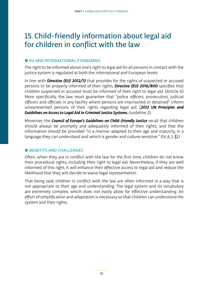## 15. Child-friendly information about legal aid for children in conflict with the law

#### **O EU AND INTERNATIONAL STANDARDS**

The right to be informed about one's right to legal aid for all persons in contact with the justice system is regulated at both the international and European levels.

In line with *Directive (EU) 2012/13* that provides for the rights of suspected or accused persons to be properly informed of their rights, *Directive (EU) 2016/800* specifies that children suspected or accused must be informed of their right to legal aid. (Article 6) More specifically, the law must guarantee that "police officers, prosecutors, judicial officers and officials in any facility where persons are imprisoned or detained" inform unrepresented persons of their rights regarding legal aid. (*2012 UN Principles and Guidelines on Access to Legal Aid in Criminal Justice Systems*, Guideline 2)

Moreover, the *Council of Europe's Guidelines on Child-friendly Justice* recall that children should always be promptly and adequately informed of their rights, and that the information should be provided "in a manner adapted to their age and maturity, in a language they can understand and which is gender and culture sensitive." (IV, A, 1,  $(I)$ )

#### **O BENEFITS AND CHALLENGES**

Often, when they are in conflict with the law for the first time, children do not know their procedural rights, including their right to legal aid. Nevertheless, if they are well informed of this right, it will enhance their effective access to legal aid and reduce the likelihood that they will decide to waive legal representation.

That being said, children in conflict with the law are often informed in a way that is not appropriate to their age and understanding. The legal system and its vocabulary are extremely complex, which does not easily allow for effective understanding. An effort of simplification and adaptation is necessary so that children can understand the system and their rights.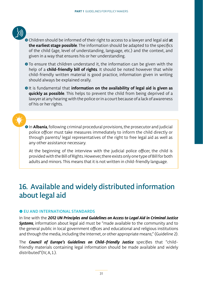<span id="page-34-0"></span>

- ʺChildren should be informed of their right to access to a lawyer and legal aid **at the earliest stage possible**. The information should be adapted to the specifics of the child (age, level of understanding, language, etc.) and the context, and given in a way that ensures his or her understanding.
- ʺTo ensure that children understand it, the information can be given with the help of a **child-friendly bill of rights**. It should be noted however that while child-friendly written material is good practice, information given in writing should always be explained orally.
- **It is fundamental that information on the availability of legal aid is given as quickly as possible**. This helps to prevent the child from being deprived of a lawyer at any hearing with the police or in a court because of a lack of awareness of his or her rights.

**In Albania**, following criminal procedural provisions, the prosecutor and judicial police officer must take measures immediately to inform the child directly or through parents/ legal representatives of the right to free legal aid as well as any other assistance necessary.

At the beginning of the interview with the judicial police officer, the child is provided with the Bill of Rights. However, there exists only one type of Bill for both adults and minors. This means that it is not written in child-friendly language.

## 16. Available and widely distributed information about legal aid

#### $\bullet$  **EU AND INTERNATIONAL STANDARDS**

In line with the *2012 UN Principles and Guidelines on Access to Legal Aid in Criminal Justice Systems*, information about legal aid must be "made available to the community and to the general public in local government offices and educational and religious institutions and through the media, including the Internet, or other appropriate means;" (Guideline 2).

The *Council of Europe's Guidelines on Child-friendly Justice* specifies that "childfriendly materials containing legal information should be made available and widely distributed"(IV, A, 1.).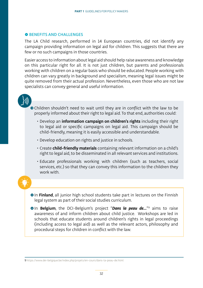#### **O BENEFITS AND CHALLENGES**

The LA Child research, performed in 14 European countries, did not identify any campaign providing information on legal aid for children. This suggests that there are few or no such campaigns in those countries.

Easier access to information about legal aid should help raise awareness and knowledge on this particular right for all. It is not just children, but parents and professionals working with children on a regular basis who should be educated. People working with children can vary greatly in background and specialism, meaning legal issues might be quite removed from their actual profession. Nevertheless, even those who are not law specialists can convey general and useful information.

• Children shouldn't need to wait until they are in conflict with the law to be properly informed about their right to legal aid. To that end, authorities could:

- Develop an **information campaign on children's rights** including their right to legal aid or specific campaigns on legal aid. This campaign should be child-friendly, meaning it is easily accessible and understandable.
- Develop education on rights and justice in schools.
- Create **child-friendly materials** containing relevant information on a child's right to legal aid, to be disseminated in all relevant services and institutions.
- Educate professionals working with children (such as teachers, social services, etc.) so that they can convey this information to the children they work with.

**• In Finland**, all junior high school students take part in lectures on the Finnish legal system as part of their social studies curriculum.

**. In Belgium**, the DCI-Belgium's project "Dans la peau de..."<sup>9</sup> aims to raise awareness of and inform children about child justice. Workshops are led in schools that educate students around children's rights in legal proceedings (including access to legal aid) as well as the relevant actors, philosophy and procedural steps for children in conflict with the law.

9 https://www.dei-belgique.be/index.php/projets/en-cours/dans-la-peau-de.html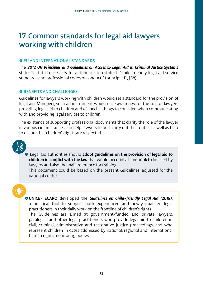### 17. Common standards for legal aid lawyers working with children

#### **O EU AND INTERNATIONAL STANDARDS**

The *2012 UN Principles and Guidelines on Access to Legal Aid in Criminal Justice Systems*  states that it is necessary for authorities to establish "child-friendly legal aid service standards and professional codes of conduct." (principle 11, §58).

#### **O BENEFITS AND CHALLENGES**

Guidelines for lawyers working with children would set a standard for the provision of legal aid. Moreover, such an instrument would raise awareness of the role of lawyers providing legal aid to children and of specific things to consider when communicating with and providing legal services to children.

The existence of supporting professional documents that clarify the role of the lawyer in various circumstances can help lawyers to best carry out their duties as well as help to ensure that children's rights are respected.



ʺ Legal aid authorities should **adopt guidelines on the provision of legal aid to children in conflict with the law** that would become a handbook to be used by lawyers and also the main reference for training.

This document could be based on the present Guidelines, adjusted for the national context.

ˌ**UNICEF ECARO** developed the *Guidelines on Child-friendly Legal Aid (2018)*, a practical tool to support both experienced and newly qualified legal practitioners in their daily work on the frontline of children's rights.

The Guidelines are aimed at government-funded and private lawyers, paralegals and other legal practitioners who provide legal aid to children in civil, criminal, administrative and restorative justice proceedings, and who represent children in cases addressed by national, regional and international human rights monitoring bodies.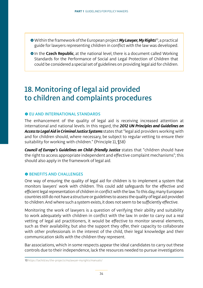- ˌWithin the framework of the European project *My Lawyer, My Rights*10, a practical guide for lawyers representing children in conflict with the law was developed.
- **In the Czech Republic**, at the national level, there is a document called Working Standards for the Performance of Social and Legal Protection of Children that could be considered a special set of guidelines on providing legal aid for children.

### 18. Monitoring of legal aid provided to children and complaints procedures

#### $\bullet$  **FU AND INTERNATIONAL STANDARDS**

The enhancement of the quality of legal aid is receiving increased attention at international and national levels. In this regard, the *2012 UN Principles and Guidelines on Access to Legal Aid in Criminal Justice Systems* states that "legal aid providers working with and for children should, where necessary, be subject to regular vetting to ensure their suitability for working with children." (Principle 11, §58)

*Council of Europe's Guidelines on Child-friendly Justice* states that "children should have the right to access appropriate independent and effective complaint mechanisms"; this should also apply in the framework of legal aid.

#### **O BENEFITS AND CHALLENGES**

One way of ensuring the quality of legal aid for children is to implement a system that monitors lawyers' work with children. This could add safeguards for the effective and efficient legal representation of children in conflict with the law. To this day, many European countries still do not have a structure or guidelines to assess the quality of legal aid provided to children. And where such a system exists, it does not seem to be sufficiently effective.

Monitoring the work of lawyers is a question of verifying their ability and suitability to work adequately with children in conflict with the law. In order to carry out a real vetting of legal aid practitioners, it would be effective to monitor several elements, such as their availability, but also the support they offer, their capacity to collaborate with other professionals in the interest of the child, their legal knowledge and their communication skills with the children they represent.

Bar associations, which in some respects appear the ideal candidates to carry out these controls due to their independence, lack the resources needed to pursue investigations

10 https://lachild.eu/the-projects/mylawyer-myrights/manuals/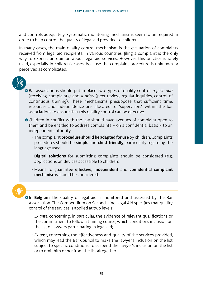and controls adequately. Systematic monitoring mechanisms seem to be required in order to help control the quality of legal aid provided to children.

In many cases, the main quality control mechanism is the evaluation of complaints received from legal aid recipients. In various countries, filing a complaint is the only way to express an opinion about legal aid services. However, this practice is rarely used, especially in children's cases, because the complaint procedure is unknown or perceived as complicated.



- Bar associations should put in place two types of quality control: *a posteriori* (receiving complaints) and *a priori* (peer review, regular inquiries, control of continuous training). These mechanisms presuppose that sufficient time, resources and independence are allocated to "supervisors" within the bar associations to ensure that this quality control can be effective.
- ʺChildren in conflict with the law should have avenues of complaint open to them and be entitled to address complaints – on a confidential basis – to an independent authority.
	- The complaint **procedure should be adapted for use** by children. Complaints procedures should be **simple** and **child-friendly**, particularly regarding the language used.
	- **Digital solutions** for submitting complaints should be considered (e.g. applications on devices accessible to children).
	- Means to guarantee **effective, independent** and **confidential complaint mechanisms** should be considered.

**In Belgium**, the quality of legal aid is monitored and assessed by the Bar Association. The Compendium on Second-Line Legal Aid specifies that quality control of the services is applied at two levels:

- *• Ex ante*, concerning, in particular, the evidence of relevant qualifications or the commitment to follow a training course, which conditions inclusion on the list of lawyers participating in legal aid;
- *• Ex post*, concerning the effectiveness and quality of the services provided, which may lead the Bar Council to make the lawyer's inclusion on the list subject to specific conditions, to suspend the lawyer's inclusion on the list or to omit him or her from the list altogether.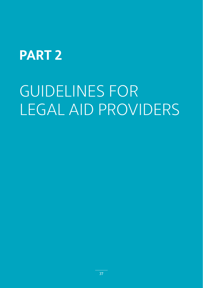# **PART 2**

# GUIDELINES FOR LEGAL AID PROVIDERS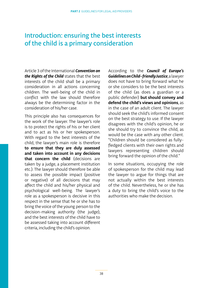### Introduction: ensuring the best interests of the child is a primary consideration

Article 3 of the International *Convention on the Rights of the Child* states that the best interests of the child shall be a primary consideration in all actions concerning children. The well-being of the child in conflict with the law should therefore always be the determining factor in the consideration of his/her case.

This principle also has consequences for the work of the lawyer. The lawyer's role is to protect the rights of his or her client and to act as his or her spokesperson. With regard to the best interests of the child, the lawyer's main role is therefore **to ensure that they are duly assessed and taken into account in any decisions that concern the child** (decisions are taken by a judge, a placement institution etc.). The lawyer should therefore be able to assess the possible impact (positive or negative) of all decisions that may affect the child and his/her physical and psychological well-being. The lawyer's role as a spokesperson is decisive in this respect in the sense that he or she has to bring the voice of the young person to the decision-making authority (the judge), and the best interests of the child have to be assessed taking into account different criteria, including the child's opinion.

According to the *Council of Europe's Guidelines on Child-friendly Justice*, a lawyer does not have to bring forward what he or she considers to be the best interests of the child (as does a guardian or a public defender) **but should convey and defend the child's views and opinions**, as in the case of an adult client. The lawyer should seek the child's informed consent on the best strategy to use. If the lawyer disagrees with the child's opinion, he or she should try to convince the child, as would be the case with any other client. "Children should be considered as fullyfledged clients with their own rights and lawyers representing children should bring forward the opinion of the child."

In some situations, occupying the role of spokesperson for the child may lead the lawyer to argue for things that are not actually within the best interests of the child. Nevertheless, he or she has a duty to bring the child's voice to the authorities who make the decision.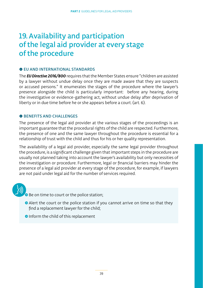### 19. Availability and participation of the legal aid provider at every stage of the procedure

#### **O EU AND INTERNATIONAL STANDARDS**

The *EU Directive 2016/800* requires that the Member States ensure "children are assisted by a lawyer without undue delay once they are made aware that they are suspects or accused persons." It enumerates the stages of the procedure where the lawyer's presence alongside the child is particularly important: before any hearing, during the investigative or evidence-gathering act, without undue delay after deprivation of liberty or in due time before he or she appears before a court. (art. 6).

#### $\bullet$  **BENEFITS AND CHALLENGES**

The presence of the legal aid provider at the various stages of the proceedings is an important guarantee that the procedural rights of the child are respected. Furthermore, the presence of one and the same lawyer throughout the procedure is essential for a relationship of trust with the child and thus for his or her quality representation.

The availability of a legal aid provider, especially the same legal provider throughout the procedure, is a significant challenge given that important steps in the procedure are usually not planned taking into account the lawyer's availability but only necessities of the investigation or procedure. Furthermore, legal or financial barriers may hinder the presence of a legal aid provider at every stage of the procedure, for example, if lawyers are not paid under legal aid for the number of services required.

Re on time to court or the police station;

- Alert the court or the police station if you cannot arrive on time so that they find a replacement lawyer for the child;
- Inform the child of this replacement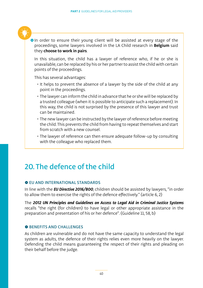

**In order to ensure their young client will be assisted at every stage of the** proceedings, some lawyers involved in the LA Child research in **Belgium** said they **choose to work in pairs**.

In this situation, the child has a lawyer of reference who, if he or she is unavailable, can be replaced by his or her partner to assist the child with certain points of the proceedings.

This has several advantages:

- It helps to prevent the absence of a lawyer by the side of the child at any point in the proceedings.
- The lawyer can inform the child in advance that he or she will be replaced by a trusted colleague (when it is possible to anticipate such a replacement). In this way, the child is not surprised by the presence of this lawyer and trust can be maintained.
- The new lawyer can be instructed by the lawyer of reference before meeting the child. This prevents the child from having to repeat themselves and start from scratch with a new counsel.
- The lawyer of reference can then ensure adequate follow-up by consulting with the colleague who replaced them.

### 20. The defence of the child

#### **O EU AND INTERNATIONAL STANDARDS**

In line with the *EU Directive 2016/800*, children should be assisted by lawyers, "in order to allow them to exercise the rights of the defence effectively." (article 6, 2)

The *2012 UN Principles and Guidelines on Access to Legal Aid in Criminal Justice Systems* recalls "the right (for children) to have legal or other appropriate assistance in the preparation and presentation of his or her defence". (Guideline 11, 58, b)

#### $\bullet$  **BENEFITS AND CHALLENGES**

As children are vulnerable and do not have the same capacity to understand the legal system as adults, the defence of their rights relies even more heavily on the lawyer. Defending the child means guaranteeing the respect of their rights and pleading on their behalf before the judge.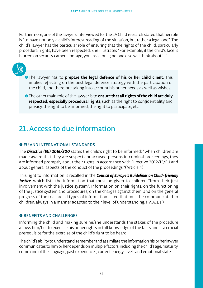Furthermore, one of the lawyers interviewed for the LA Child research stated that her role is "to have not only a child's interest reading of the situation, but rather a legal one". The child's lawyer has the particular role of ensuring that the rights of the child, particularly procedural rights, have been respected. She illustrates "For example, if the child's face is blurred on security camera footage, you insist on it; no one else will think about it."



- **•** The lawyer has to **prepare the legal defence of his or her child client**. This implies reflecting on the best legal defence strategy with the participation of the child, and therefore taking into account his or her needs as well as wishes.
- ʺThe other main role of the lawyer is to **ensure that all rights of the child are duly respected, especially procedural rights**, such as the right to confidentiality and privacy, the right to be informed, the right to participate, etc.

### 21. Access to due information

#### $\bullet$  **EU AND INTERNATIONAL STANDARDS**

The *Directive (EU) 2016/800* states the child's right to be informed: "when children are made aware that they are suspects or accused persons in criminal proceedings, they are informed promptly about their rights in accordance with Directive 2012/13/EU and about general aspects of the conduct of the proceedings."(Article 4)

This right to information is recalled in the *Council of Europe's Guidelines on Child-friendly Justice*, which lists the information that must be given to children "from their first involvement with the justice system". Information on their rights, on the functioning of the justice system and procedures, on the charges against them, and on the general progress of the trial are all types of information listed that must be communicated to children, always in a manner adapted to their level of understanding. (IV, A, 1, 1.)

#### $\bullet$  **BENEFITS AND CHALLENGES**

Informing the child and making sure he/she understands the stakes of the procedure allows him/her to exercise his or her rights in full knowledge of the facts and is a crucial prerequisite for the exercise of the child's right to be heard.

The child's ability to understand, remember and assimilate the information his or her lawyer communicates to him or her depends on multiple factors, including the child's age, maturity, command of the language, past experiences, current energy levels and emotional state.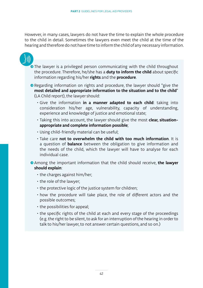However, in many cases, lawyers do not have the time to explain the whole procedure to the child in detail. Sometimes the lawyers even meet the child at the time of the hearing and therefore do not have time to inform the child of any necessary information.

• The lawyer is a privileged person communicating with the child throughout the procedure. Therefore, he/she has a **duty to inform the child** about specific information regarding his/her **rights** and the **procedure**.

- Regarding information on rights and procedure, the lawyer should "give the **most detailed and appropriate information to the situation and to the child**" (LA Child report), the lawyer should:
	- Give the information **in a manner adapted to each child**: taking into consideration his/her age, vulnerability, capacity of understanding, experience and knowledge of justice and emotional state;
	- Taking this into account, the lawyer should give the most **clear, situationappropriate and complete information possible**;
	- Using child-friendly material can be useful;
	- Take care **not to overwhelm the child with too much information**. It is a question of **balance** between the obligation to give information and the needs of the child, which the lawyer will have to analyse for each individual case.
- **•** Among the important information that the child should receive, **the lawyer should explain**:
	- the charges against him/her;
	- the role of the lawyer;
	- the protective logic of the justice system for children;
	- how the procedure will take place, the role of different actors and the possible outcomes;
	- the possibilities for appeal;
	- the specific rights of the child at each and every stage of the proceedings (e.g. the right to be silent, to ask for an interruption of the hearing in order to talk to his/her lawyer, to not answer certain questions, and so on.)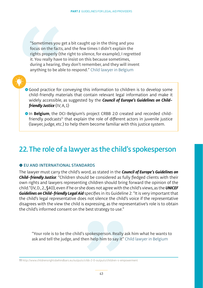"Sometimes you get a bit caught up in the thing and you focus on the facts, and the few times I didn't explain the rights properly (the right to silence, for example), I regretted it. You really have to insist on this because sometimes, during a hearing, they don't remember, and they will invent anything to be able to respond." Child lawyer in Belgium



- **•** Good practice for conveying this information to children is to develop some child-friendly materials that contain relevant legal information and make it widely accessible, as suggested by the *Council of Europe's Guidelines on Childfriendly Justice* (IV, A, 1)
- **In Belgium**, the DCI-Belgium's project CRBB 2.0 created and recorded child $f$ riendly podcasts $11$  that explain the role of different actors in juvenile justice (lawyer, judge, etc.) to help them become familiar with this justice system.

### 22. The role of a lawyer as the child's spokesperson

#### **O EU AND INTERNATIONAL STANDARDS**

The lawyer must carry the child's word, as stated in the *Council of Europe's Guidelines on Child-friendly Justice*: "Children should be considered as fully fledged clients with their own rights and lawyers representing children should bring forward the opinion of the child."(IV, D., 2., §40), even if he or she does not agree with the child's views, as the *UNICEF Guidelines on Child-friendly Legal Aid* specifies in its Guideline 2: "It is very important that the child's legal representative does not silence the child's voice if the representative disagrees with the view the child is expressing, as the representative's role is to obtain the child's informed consent on the best strategy to use."

"Your role is to be the child's spokesperson. Really ask him what he wants to ask and tell the judge, and then help him to say it" Child lawyer in Belgium

11 http://www.childrensrightsbehindbars.eu/outputs/crbb-2-0-outputs/children-s-empowerment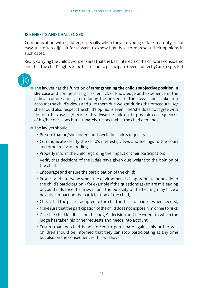#### **O BENEFITS AND CHALLENGES**

Communication with children, especially when they are young or lack maturity, is not easy. It is often difficult for lawyers to know how best to represent their opinions in such cases.

Really carrying the child's word ensures that the best interests of the child are considered and that the child's rights to be heard and to participate (even indirectly) are respected.

**•** The lawyer has the function of **strengthening the child's subjective position in the case** and compensating his/her lack of knowledge and experience of the judicial culture and system during the procedure. The lawyer must take into account the child's views and give them due weight during the procedure. He/ she should also respect the child's opinions even if he/she does not agree with them. In this case, his/her role is to advise the child on the possible consequences of his/her decisions but ultimately respect what the child demands.

**•** The lawyer should:

- Be sure that he/she understands well the child's requests;
- Communicate clearly the child's interests, views and feelings to the court and other relevant bodies;
- Properly inform the child regarding the impact of their participation;
- Verify that decisions of the judge have given due weight to the opinion of the child;
- Encourage and ensure the participation of the child;
- Protect and intervene when the environment is inappropriate or hostile to the child's participation - for example if the questions asked are misleading or could influence the answer, or if the publicity of the hearing may have a negative impact on the participation of the child;
- Check that the pace is adapted to the child and ask for pauses when needed;
- Make sure that the participation of the child does not expose him or her to risks;
- Give the child feedback on the judge's decision and the extent to which the judge has taken his or her requests and needs into account;
- Ensure that the child is not forced to participate against his or her will. Children should be informed that they can stop participating at any time but also on the consequences this will have.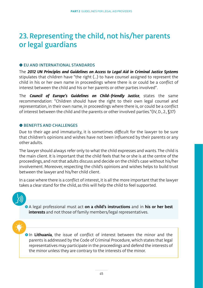### 23. Representing the child, not his/her parents or legal guardians

#### **O EU AND INTERNATIONAL STANDARDS**

The *2012 UN Principles and Guidelines on Access to Legal Aid in Criminal Justice Systems* stipulates that children have "the right (…) to have counsel assigned to represent the child in his or her own name in proceedings where there is or could be a conflict of interest between the child and his or her parents or other parties involved".

The *Council of Europe's Guidelines on Child-friendly Justice*, states the same recommendation: "Children should have the right to their own legal counsel and representation, in their own name, in proceedings where there is, or could be a conflict of interest between the child and the parents or other involved parties."(IV, D., 2., §37)

#### **O BENEFITS AND CHALLENGES**

Due to their age and immaturity, it is sometimes difficult for the lawyer to be sure that children's opinions and wishes have not been influenced by their parents or any other adults.

The lawyer should always refer only to what the child expresses and wants. The child is the main client. It is important that the child feels that he or she is at the centre of the proceedings, and not that adults discuss and decide on the child's case without his/her involvement. Moreover, respecting the child's opinions and wishes helps to build trust between the lawyer and his/her child client.

In a case where there is a conflict of interest, it is all the more important that the lawyer takes a clear stand for the child, as this will help the child to feel supported.

ʺA legal professional must act **on a child's instructions** and in **his or her best interests** and not those of family members/legal representatives.

**•**In Lithuania, the issue of conflict of interest between the minor and the parents is addressed by the Code of Criminal Procedure, which states that legal representatives may participate in the proceedings and defend the interests of the minor unless they are contrary to the interests of the minor.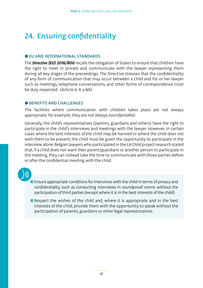### 24. Ensuring confidentiality

#### **O EU AND INTERNATIONAL STANDARDS**

The *Directive (EU) 2016/800* recalls the obligation of States to ensure that children have the right to meet in private and communicate with the lawyer representing them during all key stages of the proceedings. The Directive stresses that the confidentiality of any form of communication that may occur between a child and his or her lawyer such as meetings, telephone conversations, and other forms of correspondence must be duly respected. (Article 6. 4. a &b)

#### **O BENEFITS AND CHALLENGES**

The facilities where communication with children takes place are not always appropriate; for example, they are not always soundproofed.

Generally, the child's representatives (parents, guardians and others) have the right to participate in the child's interviews and meetings with the lawyer. However, in certain cases where the best interests of the child may be harmed or where the child does not wish them to be present, the child must be given the opportunity to participate in the interview alone. Belgian lawyers who participated in the LA Child project research stated that, if a child does not want their parent/guardians or another person to participate in the meeting, they can instead take the time to communicate with those parties before or after the confidential meeting with the child.

- **•** Ensure appropriate conditions for interviews with the child in terms of privacy and confidentiality, such as conducting interviews in soundproof rooms without the participation of third parties (except where it is in the best interests of the child).
- Respect the wishes of the child and, where it is appropriate and in the best interests of the child, provide them with the opportunity to speak without the participation of parents, guardians or other legal representatives.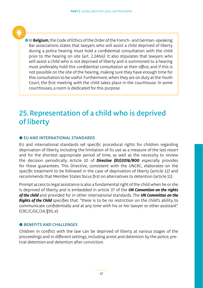**• In Belgium**, the Code of Ethics of the Order of the French- and German-speaking Bar associations states that lawyers who will assist a child deprived of liberty during a police hearing must hold a confidential consultation with the child prior to the hearing on site (art. 2.24bis). It also stipulates that lawyers who will assist a child who is not deprived of liberty and is summoned to a hearing must preferably hold this confidential consultation at their office, and if this is not possible on the site of the hearing, making sure they have enough time for this consultation to be useful. Furthermore, when they are on duty at the Youth Court, the first meeting with the child takes place in the courthouse. In some courthouses, a room is dedicated for this purpose.

### 25. Representation of a child who is deprived of liberty

#### $\bullet$  **EU AND INTERNATIONAL STANDARDS**

EU and international standards set specific procedural rights for children regarding deprivation of liberty, including the limitation of its use as a measure of the last resort and for the shortest appropriate period of time, as well as the necessity to review the decision periodically. Article 10 of *Directive (EU)2016/800* especially provides for these guarantees. This Directive, consistent with the UNCRC, elaborates on the specific treatment to be followed in the case of deprivation of liberty (article 12) and recommends that Member States focus first on alternatives to detention (article 11).

Prompt access to legal assistance is also a fundamental right of the child when he or she is deprived of liberty and is embedded in article 37 of the *UN Convention on the rights of the child* and provided for in other international standards. The *UN Committee on the Rights of the Child* specifies that: "there is to be no restriction on the child's ability to communicate confidentially and at any time with his or her lawyer or other assistant" (CRC/C/GC/24, §95, e)

#### $\bullet$  **BENEFITS AND CHALLENGES**

Children in conflict with the law can be deprived of liberty at various stages of the proceedings and in different settings, including arrest and detention by the police, pretrial detention and detention after conviction.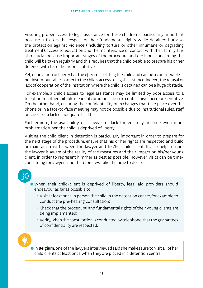Ensuring proper access to legal assistance for these children is particularly important because it fosters the respect of their fundamental rights while detained but also the protection against violence (including torture or other inhumane or degrading treatment), access to education and the maintenance of contact with their family. It is also crucial because important stages of the procedure and decisions concerning the child will be taken regularly and this requires that the child be able to prepare his or her defence with his or her representative.

Yet, deprivation of liberty has the effect of isolating the child and can be a considerable, if not insurmountable, barrier to the child's access to legal assistance. Indeed, the refusal or lack of cooperation of the institution where the child is detained can be a huge obstacle.

For example, a child's access to legal assistance may be limited by poor access to a telephone or other suitable means of communication to contact his or her representative. On the other hand, ensuring the confidentiality of exchanges that take place over the phone or in a face-to-face meeting may not be possible due to institutional rules, staff practices or a lack of adequate facilities.

Furthermore, the availability of a lawyer or lack thereof may become even more problematic when the child is deprived of liberty.

Visiting the child client in detention is particularly important in order to prepare for the next stage of the procedure, ensure that his or her rights are respected and build or maintain trust between the lawyer and his/her child client. It also helps ensure the lawyer is aware of the reality of the measures and their impact on his/her young client, in order to represent him/her as best as possible. However, visits can be timeconsuming for lawyers and therefore few take the time to do so.

- ʺWhen their child-client is deprived of liberty, legal aid providers should endeavour as far as possible to:
	- Visit at least once in person the child in the detention centre, for example to conduct the pre-hearing consultation;
	- Check that the procedural and fundamental rights of their young clients are being implemented;
	- Verify, when the consultation is conducted by telephone, that the guarantees of confidentiality are respected.

**•** In **Belgium**, one of the lawyers interviewed said she makes sure to visit all of her child clients at least once when they are placed in a detention centre.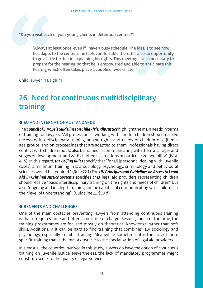"Do you visit each of your young clients in detention centres?"

"Always at least once, even if I have a busy schedule. The idea is to see how he adapts to the center, if he feels comfortable there. It's also an opportunity to go a little further in explaining his rights. This meeting is also necessary to prepare for the hearing, so that he is empowered and able to anticipate this hearing which often takes place a couple of weeks later."

Child lawyer in Belgium

### 26. Need for continuous multidisciplinary training

#### $\bullet$  **EU AND INTERNATIONAL STANDARDS**

The *Council of Europe's Guidelines on Child-friendly Justice* highlight the main needs in terms of training for lawyers: "All professionals working with and for children should receive necessary interdisciplinary training on the rights and needs of children of different age groups, and on proceedings that are adapted to them. Professionals having direct contact with children should also be trained in communicating with them at all ages and stages of development, and with children in situations of particular vulnerability" (IV, A, 4., 5). In this regard, *the Beijing Rules* specify that "for all [personnel dealing with juvenile cases], a minimum training in law, sociology, psychology, criminology and behavioural sciences would be required." (Rule 22.1) The *UN Principles and Guidelines on Access to Legal Aid in Criminal Justice Systems* specifies that legal aid providers representing children should receive "basic interdisciplinary training on the rights and needs of children" but also "ongoing and in-depth training and be capable of communicating with children at their level of understanding". (Guideline 11, §58 d)

#### $\bullet$  **BENEFITS AND CHALLENGES**

One of the main obstacles preventing lawyers from attending continuous training is that it requires time and often is not free of charge. Besides, much of the time, the training programmes are focused mostly on theoretical knowledge rather than soft skills. Additionally, it can be hard to find training that combines law, sociology and psychology, especially in initial training. Meanwhile, sometimes it is the lack of more specific training that is the major obstacle to the specialisation of legal aid providers.

In almost all the countries involved in this study, lawyers do have the option of continuous training on juvenile justice. Nevertheless, the lack of mandatory programmes might constitute a risk to the quality of legal service.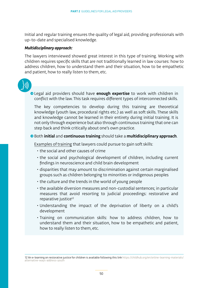Initial and regular training ensures the quality of legal aid, providing professionals with up-to-date and specialised knowledge.

#### *Multidisciplinary approach:*

The lawyers interviewed showed great interest in this type of training. Working with children requires specific skills that are not traditionally learned in law courses: how to address children, how to understand them and their situation, how to be empathetic and patient, how to really listen to them, etc.

ʺLegal aid providers should have **enough expertise** to work with children in conflict with the law. This task requires different types of interconnected skills.

The key competencies to develop during this training are theoretical knowledge (youth law, procedural rights etc.) as well as soft skills. These skills and knowledge cannot be learned in their entirety during initial training. It is not only through experience but also through continuous training that one can step back and think critically about one's own practice.

#### ʺBoth **initial** and **continuous training** should take a **multidisciplinary approach**.

Examples of training that lawyers could pursue to gain soft skills:

- the social and other causes of crime
- the social and psychological development of children, including current findings in neuroscience and child brain development
- disparities that may amount to discrimination against certain marginalised groups such as children belonging to minorities or indigenous peoples
- the culture and the trends in the world of young people
- the available diversion measures and non-custodial sentences; in particular measures that avoid resorting to judicial proceedings: restorative and reparative justice<sup>12</sup>
- Understanding the impact of the deprivation of liberty on a child's development
- Training on communication skills: how to address children, how to understand them and their situation, how to be empathetic and patient, how to really listen to them, etc.

12 An e-learning on restorative justice for children is available following this link https://childhub.org/en/online-learning-materials/ alternative-ways-address-youth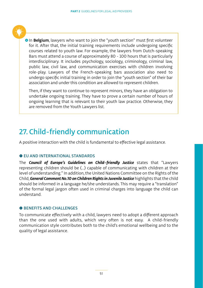

**In Belgium**, lawyers who want to join the "youth section" must first volunteer for it. After that, the initial training requirements include undergoing specific courses related to youth law. For example, the lawyers from Dutch-speaking Bars must attend a course of approximately 80 - 100 hours that is particularly interdisciplinary. It includes psychology, sociology, criminology, criminal law, public law, civil law, and communication exercises with children involving role-play. Lawyers of the French-speaking bars association also need to undergo specific initial training in order to join the "youth section" of their bar association and under this condition are allowed to represent children.

Then, if they want to continue to represent minors, they have an obligation to undertake ongoing training. They have to prove a certain number of hours of ongoing learning that is relevant to their youth law practice. Otherwise, they are removed from the Youth Lawyers list.

### 27. Child-friendly communication

A positive interaction with the child is fundamental to effective legal assistance.

#### $\bullet$  EU AND INTERNATIONAL STANDARDS

The *Council of Europe's Guidelines on Child-friendly Justice* states that "Lawyers representing children should be (…) capable of communicating with children at their level of understanding." In addition, the United Nations Committee on the Rights of the Child, *General Comment No.10 on Children Rights in Juvenile Justice* highlights that the child should be informed in a language he/she understands. This may require a "translation" of the formal legal jargon often used in criminal charges into language the child can understand.

#### **O BENEFITS AND CHALLENGES**

To communicate effectively with a child, lawyers need to adopt a different approach than the one used with adults, which very often is not easy. A child-friendly communication style contributes both to the child's emotional wellbeing and to the quality of legal assistance.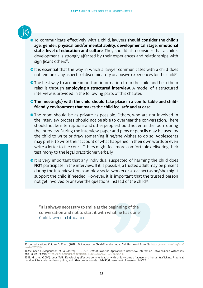- - ʺTo communicate effectively with a child, lawyers **should consider the child's age, gender, physical and/or mental ability, developmental stage, emotional state, level of education and culture**. They should also consider that a child's development is strongly affected by their experiences and relationships with significant others<sup>13</sup>.
	- It is essential that the way in which a lawyer communicates with a child does not reinforce any aspects of discriminatory or abusive experiences for the child<sup>14</sup>.
	- The best way to acquire important information from the child and help them relax is through **employing a structured interview.** A model of a structured interview is provided in the following parts of this chapter.
	- The meeting(s) with the child should take place in a comfortable and child**friendly environment that makes the child feel safe and at ease.**
	- The room should be as private as possible. Others, who are not involved in the interview process, should not be able to overhear the conversation. There should not be interruptions and other people should not enter the room during the interview. During the interview, paper and pens or pencils may be used by the child to write or draw something if he/she wishes to do so. Adolescents may prefer to write their account of what happened in their own words or even write a letter to the court. Others might feel more comfortable delivering their testimony to the legal practitioner verbally.
	- It is very important that any individual suspected of harming the child does **NOT** participate in the interview. If it is possible, a trusted adult may be present during the interview, (for example a social worker or a teacher) as he/she might support the child if needed. However, it is important that the trusted person not get involved or answer the questions instead of the child<sup>15</sup>.

"It is always necessary to smile at the beginning of the conversation and not to start it with what he has done" Child lawyer in Lithuania

<sup>13</sup> United Nations Children's Fund. (2018). Guidelines on Child-Friendly Legal Aid. Retrieved from file https://www.unicef.org/eca/ media/5171/file

<sup>14</sup> Melinder, A., Magnusson, M., & Gilstrap, L. L. (2021). What Is a Child-Appropriate Interview? Interaction Between Child Witnesses and Police Officers. https://link.springer.com/article/10.1007/s42448-020-000

<sup>15</sup> B. Mitchel. (2004). Let's Talk: Developing effective communication with child victims of abuse and human trafficking. Practical handbook for social workers, police, and other professionals. UNMIK, Government of Kosovo, UNICEF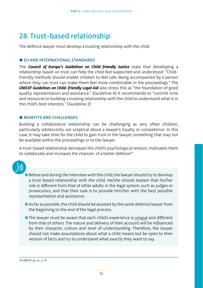### 28. Trust-based relationship

The defence lawyer must develop a trusting relationship with the child.

#### $\bullet$  **EU AND INTERNATIONAL STANDARDS**

The *Council of Europe's Guidelines on Child-friendly Justice* state that developing a relationship based on trust can help the child feel supported and understood: "Childfriendly methods should enable children to feel safe. Being accompanied by a person whom they can trust can make them feel more comfortable in the proceedings." The *UNICEF Guidelines on Child-friendly Legal Aid* also stress this as "the foundation of good quality representation and assistance." (Guideline 4) It recommends to "commit time and resources to building a trusting relationship with the child to understand what is in the child's best interests." (Guideline 2)

#### **O BENEFITS AND CHALLENGES**

Building a collaborative relationship can be challenging as very often children, particularly adolescents, are sceptical about a lawyer's loyalty or competence. In this case, it may take time for the child to gain trust in the lawyer, something that may not be available within the proceedings or to the lawyer.

A trust-based relationship decreases the child's psychological tension, motivates them to collaborate and increases the chances of a better defence<sup>16</sup>



● Before and during the interview with the child, the lawyer should try to develop a trust-based relationship with the child. He/she should explain that his/her role is different from that of other adults in the legal system, such as judges or prosecutors, and that their task is to provide him/her with the best possible representation and assistance.

 $\bullet$  As far as possible, the child should be assisted by the same defence lawyer from the beginning to the end of the legal process.

● The lawyer must be aware that each child's experience is unique and different from that of others. The nature and delivery of their account will be influenced by their character, culture and level of understanding. Therefore, the lawyer should not make assumptions about what a child means but be open to their version of facts and try to understand what exactly they want to say.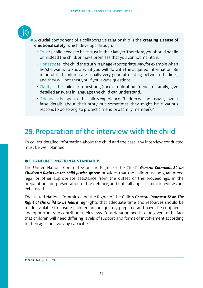

**●** A crucial component of a collaborative relationship is the **creating a sense of emotional safety**, which develops through:

- Trust: a child needs to have trust in their lawyer. Therefore, you should not lie or mislead the child, or make promises that you cannot maintain.
- Honesty: tell the child the truth in an age-appropriate way, for example when he/she wants to know what you will do with the acquired information. Be mindful that children are usually very good at reading between the lines, and they will not trust you if you evade questions.
- Clarity: if the child asks questions, (for example about friends, or family) give detailed answers in language the child can understand.
- Openness: be open to the child's experience. Children will not usually invent false details about their story but sometimes they might have various reasons to do so (e.g. to protect a friend or a family member).<sup>17</sup>

### 29. Preparation of the interview with the child

To collect detailed information about the child and the case, any interview conducted must be well planned.

#### **O FU AND INTERNATIONAL STANDARDS**

The United Nations Committee on the Rights of the Child's *General Comment 24 on*  **Children's Rights in the child justice system** provides that the child must be guaranteed legal or other appropriate assistance from the outset of the proceedings, in the preparation and presentation of the defence, and until all appeals and/or reviews are exhausted.

The United Nations Committee on the Rights of the Child's *General Comment 12 on The Right of the Child to be Heard* highlights that adequate time and resources should be made available to ensure children are adequately prepared and have the confidence and opportunity to contribute their views. Consideration needs to be given to the fact that children will need differing levels of support and forms of involvement according to their age and evolving capacities.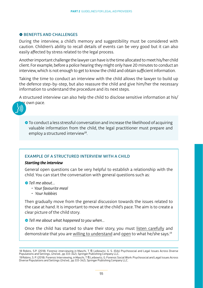#### **O BENEFITS AND CHALLENGES**

During the interview, a child's memory and suggestibility must be considered with caution. Children's ability to recall details of events can be very good but it can also easily affected by stress related to the legal process.

Another important challenge the lawyer can have is the time allocated to meet his/her child client. For example, before a police hearing they might only have 20 minutes to conduct an interview, which is not enough to get to know the child and obtain sufficient information.

Taking the time to conduct an interview with the child allows the lawyer to build up the defence step-by-step, but also reassure the child and give him/her the necessary information to understand the procedure and its next steps.

A structured interview can also help the child to disclose sensitive information at his/ r own pace.



ʺTo conduct a less stressful conversation and increase the likelihood of acquiring valuable information from the child, the legal practitioner must prepare and employ a structured interview $18$ .

#### EXAMPLE OF A STRUCTURED INTERVIEW WITH A CHILD

#### *Starting the interview*

General open questions can be very helpful to establish a relationship with the child. You can start the conversation with general questions such as:

ʺ*Tell me about…*

- *• Your favourite meal*
- *Your hobbies*

Then gradually move from the general discussion towards the issues related to the case at hand. It is important to move at the child's pace. The aim is to create a clear picture of the child story.

ʺ*Tell me about what happened to you when…*

Once the child has started to share their story, you must listen carefully and demonstrate that you are willing to understand and open to what he/she says.19

<sup>18</sup> Robins, S.P. (2018). Forensic interviewing in Maschi, T ® Leibowitz, G. S. (Eds) Psychosocial and Legal Issues Across Diverse<br>Populations and Settings, (2nd ed., pp 333-342), Springer Publishing Company LLC.

<sup>19</sup> Robins, S. P. (2018). Forensic Interviewing, in Maschi, T ® Leibowitz, G. Forensic Social Work: Psychosocial and Legal Issues Across<br>Diverse Populations and Settings (2nd ed., pp 333-342), Springer Publishing Company LL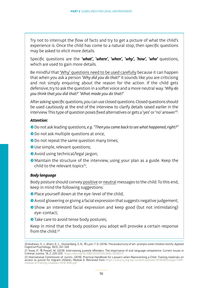Try not to interrupt the flow of facts and try to get a picture of what the child's experience is. Once the child has come to a natural stop, then specific questions may be asked to elicit more details.

Specific questions are the *'what', 'where', 'when', 'why', 'how', 'who'* questions, which are used to gain more details.

Be mindful that 'Why' questions need to be used carefully because it can happen that when you ask a person *'Why did you do that?'* it sounds like you are criticising and not simply enquiring about the reason for the action. If the child gets defensive, try to ask the question in a softer voice and a more neutral way. *'Why do you think that you did that?' 'What made you do that?'*

After asking specific questions, you can use closed questions. Closed questions should be used cautiously at the end of the interview to clarify details raised earlier in the interview. This type of question poses fixed alternatives or gets a 'yes' or 'no' answer20.

#### *Attention:*

- ʺDo not ask leading questions; *e.g. "Then you came back to see what happened, right?"*
- Do not ask multiple questions at once;
- Do not repeat the same question many times;
- Use simple, relevant questions;
- Avoid using technical/legal jargon;
- Maintain the structure of the interview, using your plan as a guide. Keep the child to the relevant topics $21$ ;

#### *Body language*

Body posture should convey positive or neutral messages to the child. To this end, keep in mind the following suggestions:

- Place yourself down at the eye-level of the child;
- $\bullet$  Avoid glowering or giving a facial expression that suggests negative judgement;
- Show an interested facial expression and keep good (but not intimidating) eye-contact;
- Take care to avoid tense body postures;

Keep in mind that the body position you adopt will provoke a certain response from the child.<sup>22</sup>

<sup>20</sup> Andrews, S. J., Ahern, E. C., Stolzenberg, S. N., & Lyon, T. D. (2016). The productivity of wh- prompts when children testify. Applied Cognitive Psychology, 30(3), 341-349

<sup>21</sup> Snow, P., & Powell, M. (2018). Interviewing juvenile offenders: The importance of oral language competence. Current Issues in Criminal Justice, 16, 2, 220-225. https://doi.org/10.1080/10345329.2004.12036317

<sup>22</sup> International Commission of Jurists. (2018). Practical Handbook for Lawyers when Representing a Child: Training materials on access to justice for migrant children, Module 6. Retrieved from https://www.icj.org/wp-content/uploads/2018/06/Europe-FAIRmodule-6-Training-modules-2018-ENG.pdf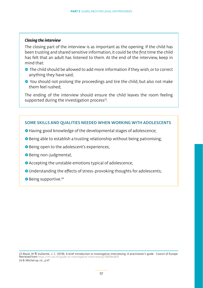#### *Closing the interview*

The closing part of the interview is as important as the opening. If the child has been trusting and shared sensitive information, it could be the first time the child has felt that an adult has listened to them. At the end of the interview, keep in mind that:

- The child should be allowed to add more information if they wish, or to correct anything they have said;
- **●** You should not prolong the proceedings and tire the child, but also not make them feel rushed;

The ending of the interview should ensure the child leaves the room feeling supported during the investigation process $23$ .

#### SOME SKILLS AND QUALITIES NEEDED WHEN WORKING WITH ADOLESCENTS

- **•** Having good knowledge of the developmental stages of adolescence;
- **Being able to establish a trusting relationship without being patronising;**
- **Being open to the adolescent's experiences;**
- **Being non-judgmental:**
- **•** Accepting the unstable emotions typical of adolescence:
- ˌUnderstanding the effects of stress-provoking thoughts for adolescents;
- **Being supportive.**<sup>24</sup>

23 Boyle, M & Vullierme, J. C. (2018). A brief introduction to investigative interviewing: A practitioner's guide. Council of Europe. Retrieved from https://rm.coe.int/guide-to-investigative-interviewing/16808ea8f9 24 B. Mitchel op. cit., p 47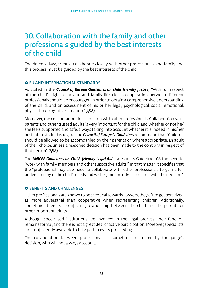### 30. Collaboration with the family and other professionals guided by the best interests of the child

The defence lawyer must collaborate closely with other professionals and family and this process must be guided by the best interests of the child.

#### **O FU AND INTERNATIONAL STANDARDS**

As stated in the *Council of Europe Guidelines on child friendly justice*, "With full respect of the child's right to private and family life, close co-operation between different professionals should be encouraged in order to obtain a comprehensive understanding of the child, and an assessment of his or her legal, psychological, social, emotional, physical and cognitive situation."(§58)

Moreover, the collaboration does not stop with other professionals. Collaboration with parents and other trusted adults is very important for the child and whether or not he/ she feels supported and safe, always taking into account whether it is indeed in his/her best interests. In this regard, the *Council of Europe's Guidelines* recommend that "Children should be allowed to be accompanied by their parents or, where appropriate, an adult of their choice, unless a reasoned decision has been made to the contrary in respect of that person" (§58)

The *UNICEF Guidelines on Child-friendly Legal Aid* states in its Guideline n°8 the need to "work with family members and other supportive adults." In that matter, it specifies that the "professional may also need to collaborate with other professionals to gain a full understanding of the child's needs and wishes, and the risks associated with the decision."

#### **O BENEFITS AND CHALLENGES**

Other professionals are known to be sceptical towards lawyers; they often get perceived as more adversarial than cooperative when representing children. Additionally, sometimes there is a conflicting relationship between the child and the parents or other important adults.

Although specialised institutions are involved in the legal process, their function remains formal, and there is not a great deal of active participation. Moreover, specialists are insufficiently available to take part in every proceeding.

The collaboration between professionals is sometimes restricted by the judge's decision, who will not always accept it.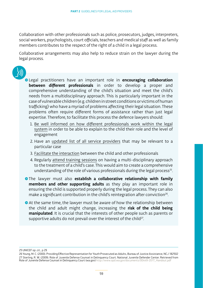Collaboration with other professionals such as police, prosecutors, judges, interpreters, social workers, psychologists, court officials, teachers and medical staff as well as family members contributes to the respect of the right of a child in a legal process.

Collaborative arrangements may also help to reduce strain on the lawyer during the legal process.



ʺLegal practitioners have an important role in **encouraging collaboration between different professionals** in order to develop a proper and comprehensive understanding of the child's situation and meet the child's needs from a multidisciplinary approach. This is particularly important in the case of vulnerable children (e.g. children in street conditions or victims of human trafficking) who have a myriad of problems affecting their legal situation. These problems often require different forms of assistance rather than just legal expertise. Therefore, to facilitate this process the defence lawyers should:

- 1. Be well informed on how different professionals work within the legal system in order to be able to explain to the child their role and the level of engagement
- 2. Have an updated list of all service providers that may be relevant to a particular case
- 3. Facilitate the interaction between the child and other professionals
- 4. Regularly attend training sessions on having a multi-disciplinary approach to the treatment of a child's case. This would aim to create a comprehensive understanding of the role of various professionals during the legal process<sup>25</sup>.
- **•**The lawyer must also **establish a collaborative relationship with family members and other supporting adults** as they play an important role in ensuring the child is supported properly during the legal process. They can also make a significant contribution in the child's reintegration after conviction<sup>26</sup>.
- At the same time, the lawyer must be aware of how the relationship between the child and adult might change, increasing the **risk of the child being manipulated**. It is crucial that the interests of other people such as parents or supportive adults do not prevail over the interest of the child<sup>27</sup>.

<sup>25</sup> UNICEF op .cit., p 29

<sup>26</sup> Young, M. C. (2000). Providing Effective Representation for Youth Prosecuted as Adults, Bureau of Justice Assistance, NCJ 182502 27 Sterling, R. W. (2009). Role of Juvenile Defense Counsel in Delinquency Court. National Juvenile Defender Center. Retrieved from<br>Role of Juvenile Defense Counsel in Delinquency Court (wa.gov) http://www.opd.wa.gov/docum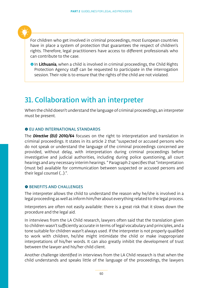For children who get involved in criminal proceedings, most European countries have in place a system of protection that guarantees the respect of children's rights. Therefore, legal practitioners have access to different professionals who can contribute to the case.

**• In Lithuania**, when a child is involved in criminal proceedings, the Child Rights Protection Agency staff can be requested to participate in the interrogation session. Their role is to ensure that the rights of the child are not violated.

### 31. Collaboration with an interpreter

When the child doesn't understand the language of criminal proceedings, an interpreter must be present.

#### **O EU AND INTERNATIONAL STANDARDS**

The *Directive (EU) 2010/64* focuses on the right to interpretation and translation in criminal proceedings. It states in its article 2 that "suspected or accused persons who do not speak or understand the language of the criminal proceedings concerned are provided, without delay, with interpretation during criminal proceedings before investigative and judicial authorities, including during police questioning, all court hearings and any necessary interim hearings. " Paragraph 2 specifies that "interpretation (must be) available for communication between suspected or accused persons and their legal counsel (…).".

#### **O BENEFITS AND CHALLENGES**

The interpreter allows the child to understand the reason why he/she is involved in a legal proceeding as well as inform him/her about everything related to the legal process.

Interpreters are often not easily available: there is a great risk that it slows down the procedure and the legal aid.

In interviews from the LA Child research, lawyers often said that the translation given to children wasn't sufficiently accurate in terms of legal vocabulary and principles, and a tone suitable for children wasn't always used. If the interpreter is not properly qualified to work with children, he/she might intimidate the child or make inappropriate interpretations of his/her words. It can also greatly inhibit the development of trust between the lawyer and his/her child client.

Another challenge identified in interviews from the LA Child research is that when the child understands and speaks little of the language of the proceedings, the lawyers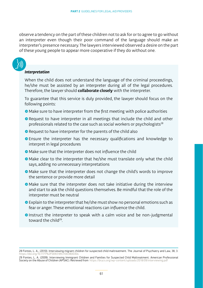observe a tendency on the part of these children not to ask for or to agree to go without an interpreter even though their poor command of the language should make an interpreter's presence necessary. The lawyers interviewed observed a desire on the part of these young people to appear more cooperative if they do without one.

#### *Interpretation*

When the child does not understand the language of the criminal proceedings, he/she must be assisted by an interpreter during all of the legal procedures. Therefore, the lawyer should **collaborate closely** with the interpreter.

To guarantee that this service is duly provided, the lawyer should focus on the following points:

- $\bullet$  Make sure to have interpreter from the first meeting with police authorities
- Request to have interpreter in all meetings that include the child and other professionals related to the case such as social workers or psychologists<sup>28</sup>
- Request to have interpreter for the parents of the child also
- **•** Ensure the interpreter has the necessary qualifications and knowledge to interpret in legal procedures
- ʺMake sure that the interpreter does not influence the child
- Make clear to the interpreter that he/she must translate only what the child says, adding no unnecessary interpretations
- ʺMake sure that the interpreter does not change the child's words to improve the sentence or provide more detail
- Make sure that the interpreter does not take initiative during the interview and start to ask the child questions themselves. Be mindful that the role of the interpreter must be neutral
- $\bullet$  Explain to the interpreter that he/she must show no personal emotions such as fear or anger. These emotional reactions can influence the child.
- Instruct the interpreter to speak with a calm voice and be non-judgmental toward the child<sup>29</sup>.

<sup>28</sup> Fontes, L. A., (2010). Interviewing migrant children for suspected child maltreatment. The Journal of Psychiatry and Law, 38, 3. https://doi.org/10.1177%2F00931853

<sup>29</sup> Fontes, L. A. (2009). Interviewing Immigrant Children and Families for Suspected Child Maltreatment. American Professional<br>Society on the Abuse of Children (APSAC). Retrieved from https://brycs.org/wp-content/uploads/20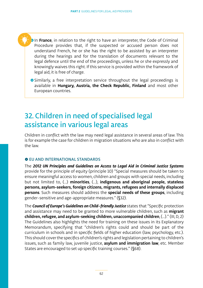ˌIn **France**, in relation to the right to have an interpreter, the Code of Criminal Procedure provides that, if the suspected or accused person does not understand French, he or she has the right to be assisted by an interpreter during the hearings and for the translation of documents relevant to the legal defence until the end of the proceedings, unless he or she expressly and knowingly waives this right. If this service is provided within the framework of legal aid, it is free of charge.

**Similarly, a free interpretation service throughout the legal proceedings is** available in **Hungary, Austria, the Check Republic, Finland** and most other European countries.

### 32. Children in need of specialised legal assistance in various legal areas

Children in conflict with the law may need legal assistance in several areas of law. This is for example the case for children in migration situations who are also in conflict with the law.

#### $\bullet$  **EU AND INTERNATIONAL STANDARDS**

The *2012 UN Principles and Guidelines on Access to Legal Aid in Criminal Justice Systems* provide for the principle of equity (principle 10) "Special measures should be taken to ensure meaningful access to women, children and groups with special needs, including but not limited to, (…) **minorities**, (…), **indigenous and aboriginal people, stateless persons, asylum-seekers, foreign citizens, migrants, refugees and internally displaced persons**. Such measures should address the **special needs of these groups**, including gender-sensitive and age-appropriate measures." (§32).

The *Council of Europe's Guidelines on Child-friendly Justice* states that "Specific protection and assistance may need to be granted to more vulnerable children, such as **migrant children, refugee, and asylum-seeking children, unaccompanied children**, (…)." (III, D, 2) The Guidelines also highlights the need for training on these issues in its Explanatory Memorandum, specifying that "children's rights could and should be part of the curriculum in schools and in specific fields of higher education (law, psychology, etc.). This should cover the specifics of children's rights and legislation pertaining to children's issues, such as family law, juvenile justice, **asylum and immigration law**, etc. Member States are encouraged to set up specific training courses." (§68).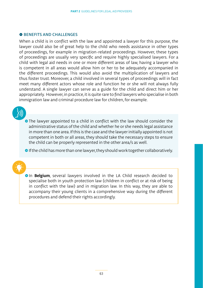#### **O BENEFITS AND CHALLENGES**

When a child is in conflict with the law and appointed a lawyer for this purpose, the lawyer could also be of great help to the child who needs assistance in other types of proceedings, for example in migration-related proceedings. However, these types of proceedings are usually very specific and require highly specialised lawyers. For a child with legal aid needs in one or more different areas of law, having a lawyer who is competent in all areas would allow him or her to be adequately accompanied in the different proceedings. This would also avoid the multiplication of lawyers and thus foster trust. Moreover, a child involved in several types of proceedings will in fact meet many different actors whose role and function he or she will not always fully understand. A single lawyer can serve as a guide for the child and direct him or her appropriately. However, in practice, it is quite rare to find lawyers who specialise in both immigration law and criminal procedure law for children, for example.

• The lawyer appointed to a child in conflict with the law should consider the administrative status of the child and whether he or she needs legal assistance in more than one area. If this is the case and the lawyer initially appointed is not competent in both or all areas, they should take the necessary steps to ensure the child can be properly represented in the other area/s as well.

**If the child has more than one lawyer, they should work together collaboratively.** 

**In Belgium**, several lawyers involved in the LA Child research decided to specialise both in youth protection law (children in conflict or at risk of being in conflict with the law) and in migration law. In this way, they are able to accompany their young clients in a comprehensive way during the different procedures and defend their rights accordingly.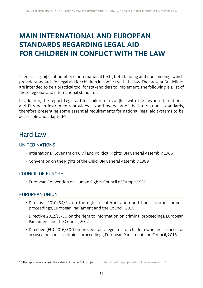### **MAIN INTERNATIONAL AND EUROPEAN STANDARDS REGARDING LEGAL AID FOR CHILDREN IN CONFLICT WITH THE LAW**

There is a significant number of international texts, both binding and non-binding, which provide standards for legal aid for children in conflict with the law. The present Guidelines are intended to be a practical tool for stakeholders to implement. The following is a list of these regional and international standards.

In addition, the report Legal aid for children in conflict with the law in international and European instruments provides a good overview of the international standards, therefore presenting some essential requirements for national legal aid systems to be accessible and adapted<sup>30</sup>.

### Hard Law

#### UNITED NATIONS

- International Covenant on Civil and Political Rights, UN General Assembly, 1966
- Convention on the Rights of the Child, UN General Assembly, 1989

#### COUNCIL OF EUROPE

• European Convention on Human Rights, Council of Europe, 1950

#### EUROPEAN UNION

- Directive 2010/64/EU on the right to interpretation and translation in criminal proceedings, European Parliament and the Council, 2010
- Directive 2012/13/EU on the right to information on criminal proceedings, European Parliament and the Council, 2012
- Directive (EU) 2016/800 on procedural safeguards for children who are suspects or accused persons in criminal proceedings, European Parliament and Council, 2016

<sup>30</sup> The report is available in the website of the LA Child project: https://lachild.eu/the-projects/la-child/european-report/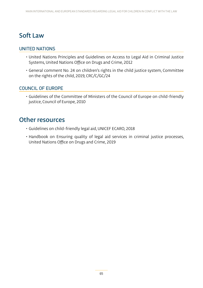### Soft Law

#### UNITED NATIONS

- United Nations Principles and Guidelines on Access to Legal Aid in Criminal Justice Systems, United Nations Office on Drugs and Crime, 2012
- General comment No. 24 on children's rights in the child justice system, Committee on the rights of the child, 2019, CRC/C/GC/24

#### COUNCIL OF EUROPE

• Guidelines of the Committee of Ministers of the Council of Europe on child-friendly justice, Council of Europe, 2010

### Other resources

- Guidelines on child-friendly legal aid, UNICEF ECARO, 2018
- Handbook on Ensuring quality of legal aid services in criminal justice processes, United Nations Office on Drugs and Crime, 2019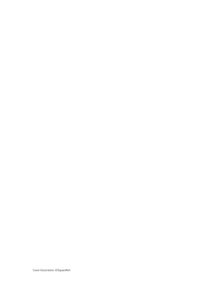Cover illustration: ©Squarefish